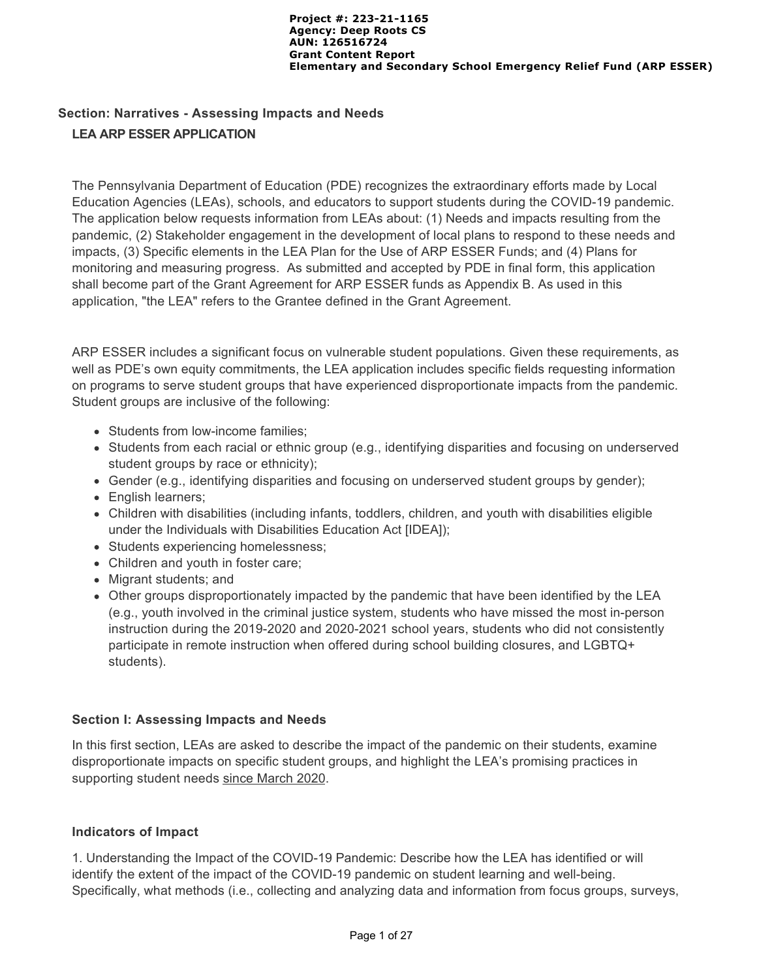# **Section: Narratives - Assessing Impacts and Needs LEA ARP ESSER APPLICATION**

The Pennsylvania Department of Education (PDE) recognizes the extraordinary efforts made by Local Education Agencies (LEAs), schools, and educators to support students during the COVID-19 pandemic. The application below requests information from LEAs about: (1) Needs and impacts resulting from the pandemic, (2) Stakeholder engagement in the development of local plans to respond to these needs and impacts, (3) Specific elements in the LEA Plan for the Use of ARP ESSER Funds; and (4) Plans for monitoring and measuring progress. As submitted and accepted by PDE in final form, this application shall become part of the Grant Agreement for ARP ESSER funds as Appendix B. As used in this application, "the LEA" refers to the Grantee defined in the Grant Agreement.

ARP ESSER includes a significant focus on vulnerable student populations. Given these requirements, as well as PDE's own equity commitments, the LEA application includes specific fields requesting information on programs to serve student groups that have experienced disproportionate impacts from the pandemic. Student groups are inclusive of the following:

- Students from low-income families;
- Students from each racial or ethnic group (e.g., identifying disparities and focusing on underserved student groups by race or ethnicity);
- Gender (e.g., identifying disparities and focusing on underserved student groups by gender);
- English learners;
- Children with disabilities (including infants, toddlers, children, and youth with disabilities eligible under the Individuals with Disabilities Education Act [IDEA]);
- Students experiencing homelessness;
- Children and youth in foster care;
- Migrant students; and
- Other groups disproportionately impacted by the pandemic that have been identified by the LEA (e.g., youth involved in the criminal justice system, students who have missed the most in-person instruction during the 2019-2020 and 2020-2021 school years, students who did not consistently participate in remote instruction when offered during school building closures, and LGBTQ+ students).

#### **Section I: Assessing Impacts and Needs**

In this first section, LEAs are asked to describe the impact of the pandemic on their students, examine disproportionate impacts on specific student groups, and highlight the LEA's promising practices in supporting student needs since March 2020.

#### **Indicators of Impact**

1. Understanding the Impact of the COVID-19 Pandemic: Describe how the LEA has identified or will identify the extent of the impact of the COVID-19 pandemic on student learning and well-being. Specifically, what methods (i.e., collecting and analyzing data and information from focus groups, surveys,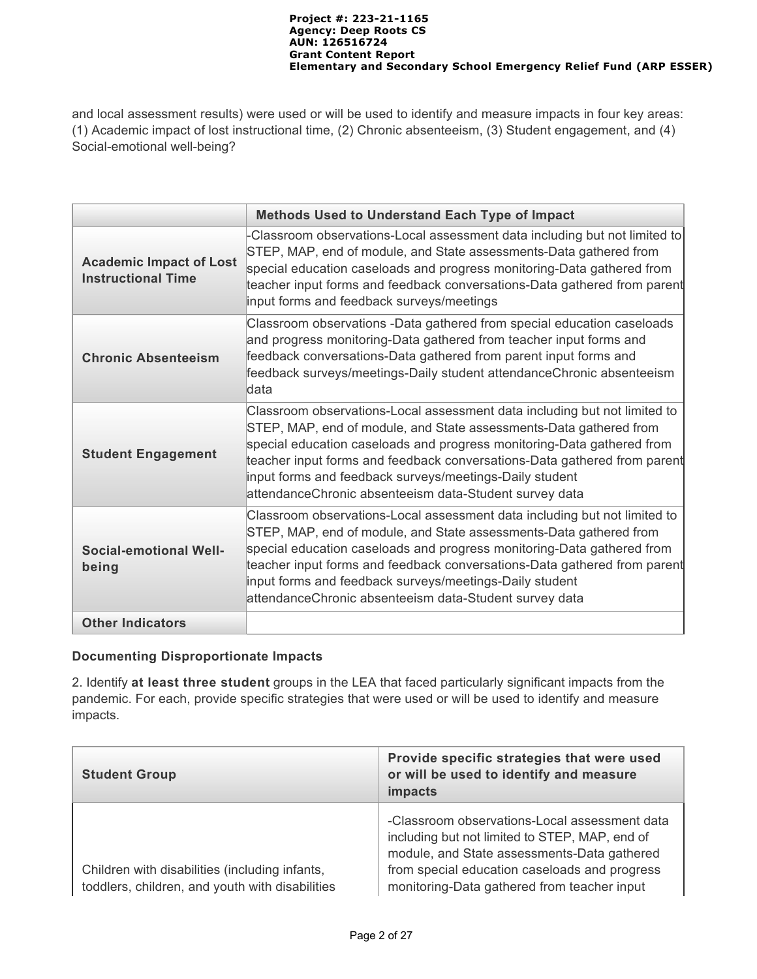and local assessment results) were used or will be used to identify and measure impacts in four key areas: (1) Academic impact of lost instructional time, (2) Chronic absenteeism, (3) Student engagement, and (4) Social-emotional well-being?

|                                                             | <b>Methods Used to Understand Each Type of Impact</b>                                                                                                                                                                                                                                                                                                                                                                      |  |  |
|-------------------------------------------------------------|----------------------------------------------------------------------------------------------------------------------------------------------------------------------------------------------------------------------------------------------------------------------------------------------------------------------------------------------------------------------------------------------------------------------------|--|--|
| <b>Academic Impact of Lost</b><br><b>Instructional Time</b> | -Classroom observations-Local assessment data including but not limited to<br>STEP, MAP, end of module, and State assessments-Data gathered from<br>special education caseloads and progress monitoring-Data gathered from<br>teacher input forms and feedback conversations-Data gathered from parent<br>input forms and feedback surveys/meetings                                                                        |  |  |
| <b>Chronic Absenteeism</b>                                  | Classroom observations -Data gathered from special education caseloads<br>and progress monitoring-Data gathered from teacher input forms and<br>feedback conversations-Data gathered from parent input forms and<br>feedback surveys/meetings-Daily student attendanceChronic absenteeism<br>ldata                                                                                                                         |  |  |
| <b>Student Engagement</b>                                   | Classroom observations-Local assessment data including but not limited to<br>STEP, MAP, end of module, and State assessments-Data gathered from<br>special education caseloads and progress monitoring-Data gathered from<br>teacher input forms and feedback conversations-Data gathered from parent<br>input forms and feedback surveys/meetings-Daily student<br>attendanceChronic absenteeism data-Student survey data |  |  |
| <b>Social-emotional Well-</b><br>being                      | Classroom observations-Local assessment data including but not limited to<br>STEP, MAP, end of module, and State assessments-Data gathered from<br>special education caseloads and progress monitoring-Data gathered from<br>teacher input forms and feedback conversations-Data gathered from parent<br>input forms and feedback surveys/meetings-Daily student<br>attendanceChronic absenteeism data-Student survey data |  |  |
| <b>Other Indicators</b>                                     |                                                                                                                                                                                                                                                                                                                                                                                                                            |  |  |

### **Documenting Disproportionate Impacts**

2. Identify **at least three student** groups in the LEA that faced particularly significant impacts from the pandemic. For each, provide specific strategies that were used or will be used to identify and measure impacts.

| <b>Student Group</b>                                                                              | Provide specific strategies that were used<br>or will be used to identify and measure<br>impacts                                                                                                                                               |  |
|---------------------------------------------------------------------------------------------------|------------------------------------------------------------------------------------------------------------------------------------------------------------------------------------------------------------------------------------------------|--|
| Children with disabilities (including infants,<br>toddlers, children, and youth with disabilities | -Classroom observations-Local assessment data<br>including but not limited to STEP, MAP, end of<br>module, and State assessments-Data gathered<br>from special education caseloads and progress<br>monitoring-Data gathered from teacher input |  |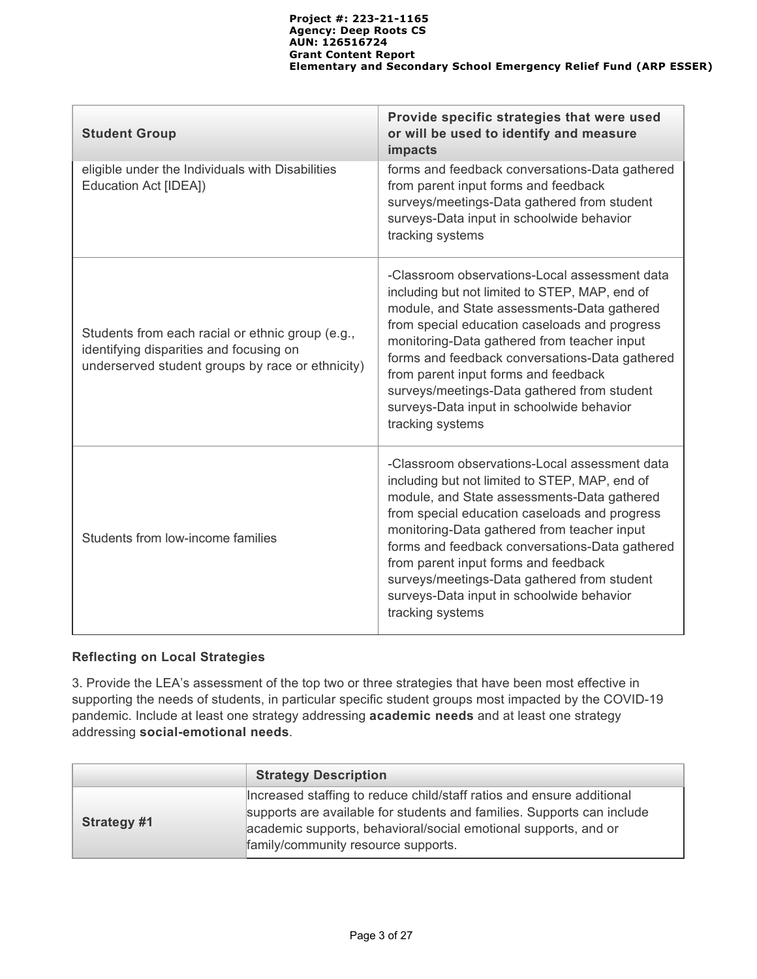| <b>Student Group</b>                                                                                                                            | Provide specific strategies that were used<br>or will be used to identify and measure<br>impacts                                                                                                                                                                                                                                                                                                                                                         |
|-------------------------------------------------------------------------------------------------------------------------------------------------|----------------------------------------------------------------------------------------------------------------------------------------------------------------------------------------------------------------------------------------------------------------------------------------------------------------------------------------------------------------------------------------------------------------------------------------------------------|
| eligible under the Individuals with Disabilities<br>Education Act [IDEA])                                                                       | forms and feedback conversations-Data gathered<br>from parent input forms and feedback<br>surveys/meetings-Data gathered from student<br>surveys-Data input in schoolwide behavior<br>tracking systems                                                                                                                                                                                                                                                   |
| Students from each racial or ethnic group (e.g.,<br>identifying disparities and focusing on<br>underserved student groups by race or ethnicity) | -Classroom observations-Local assessment data<br>including but not limited to STEP, MAP, end of<br>module, and State assessments-Data gathered<br>from special education caseloads and progress<br>monitoring-Data gathered from teacher input<br>forms and feedback conversations-Data gathered<br>from parent input forms and feedback<br>surveys/meetings-Data gathered from student<br>surveys-Data input in schoolwide behavior<br>tracking systems |
| Students from low-income families                                                                                                               | -Classroom observations-Local assessment data<br>including but not limited to STEP, MAP, end of<br>module, and State assessments-Data gathered<br>from special education caseloads and progress<br>monitoring-Data gathered from teacher input<br>forms and feedback conversations-Data gathered<br>from parent input forms and feedback<br>surveys/meetings-Data gathered from student<br>surveys-Data input in schoolwide behavior<br>tracking systems |

# **Reflecting on Local Strategies**

3. Provide the LEA's assessment of the top two or three strategies that have been most effective in supporting the needs of students, in particular specific student groups most impacted by the COVID-19 pandemic. Include at least one strategy addressing **academic needs** and at least one strategy addressing **social-emotional needs**.

|             | <b>Strategy Description</b>                                                                                                                                                                                                                               |
|-------------|-----------------------------------------------------------------------------------------------------------------------------------------------------------------------------------------------------------------------------------------------------------|
| Strategy #1 | Increased staffing to reduce child/staff ratios and ensure additional<br>supports are available for students and families. Supports can include<br>academic supports, behavioral/social emotional supports, and or<br>family/community resource supports. |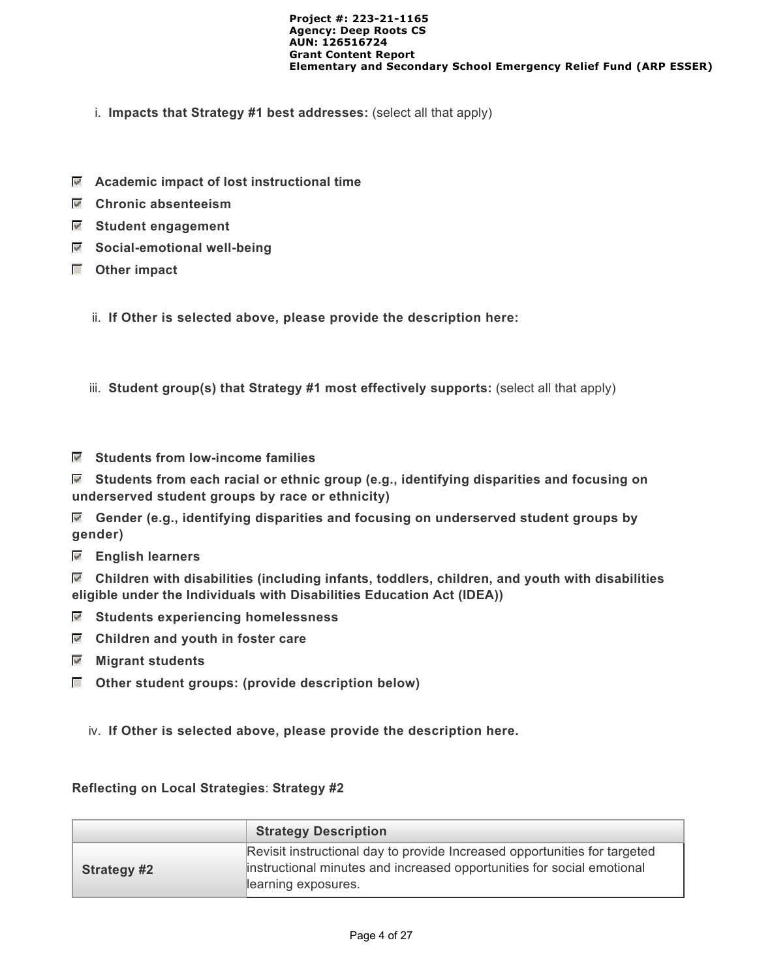- i. **Impacts that Strategy #1 best addresses:** (select all that apply)
- **Academic impact of lost instructional time**
- **Chronic absenteeism**
- **Student engagement**
- **Social-emotional well-being**
- **Other impact**
	- ii. **If Other is selected above, please provide the description here:**
	- iii. **Student group(s) that Strategy #1 most effectively supports:** (select all that apply)
- **Students from low-income families**

 **Students from each racial or ethnic group (e.g., identifying disparities and focusing on underserved student groups by race or ethnicity)**

 **Gender (e.g., identifying disparities and focusing on underserved student groups by gender)**

 **English learners**

 **Children with disabilities (including infants, toddlers, children, and youth with disabilities eligible under the Individuals with Disabilities Education Act (IDEA))**

- **Students experiencing homelessness**
- **Children and youth in foster care**
- **Migrant students**
- **Other student groups: (provide description below)**
	- iv. **If Other is selected above, please provide the description here.**

#### **Reflecting on Local Strategies**: **Strategy #2**

|                    | <b>Strategy Description</b>                                                                                                                                                |
|--------------------|----------------------------------------------------------------------------------------------------------------------------------------------------------------------------|
| <b>Strategy #2</b> | Revisit instructional day to provide Increased opportunities for targeted<br>instructional minutes and increased opportunities for social emotional<br>learning exposures. |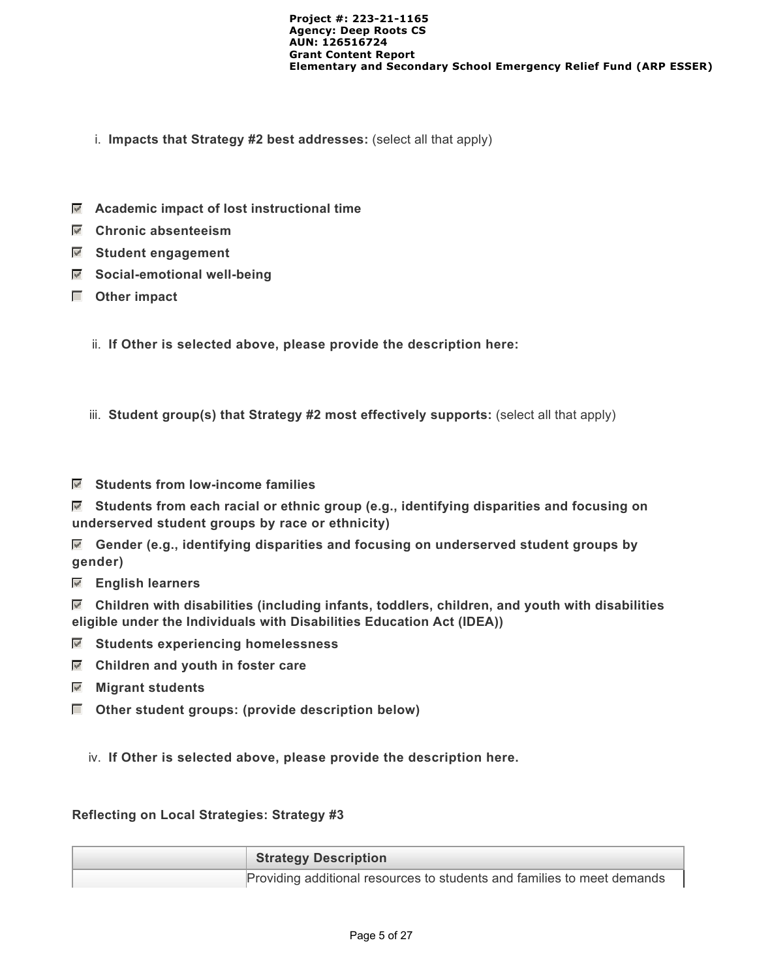- i. **Impacts that Strategy #2 best addresses:** (select all that apply)
- **Academic impact of lost instructional time**
- **Chronic absenteeism**
- **Student engagement**
- **Social-emotional well-being**
- **Other impact**
	- ii. **If Other is selected above, please provide the description here:**
	- iii. **Student group(s) that Strategy #2 most effectively supports:** (select all that apply)
- **Students from low-income families**

 **Students from each racial or ethnic group (e.g., identifying disparities and focusing on underserved student groups by race or ethnicity)**

 **Gender (e.g., identifying disparities and focusing on underserved student groups by gender)**

 **English learners**

 **Children with disabilities (including infants, toddlers, children, and youth with disabilities eligible under the Individuals with Disabilities Education Act (IDEA))**

- **Students experiencing homelessness**
- $\blacksquare$  Children and youth in foster care
- **Migrant students**
- **Other student groups: (provide description below)**

iv. **If Other is selected above, please provide the description here.**

#### **Reflecting on Local Strategies: Strategy #3**

| <b>Strategy Description</b>                                             |
|-------------------------------------------------------------------------|
| Providing additional resources to students and families to meet demands |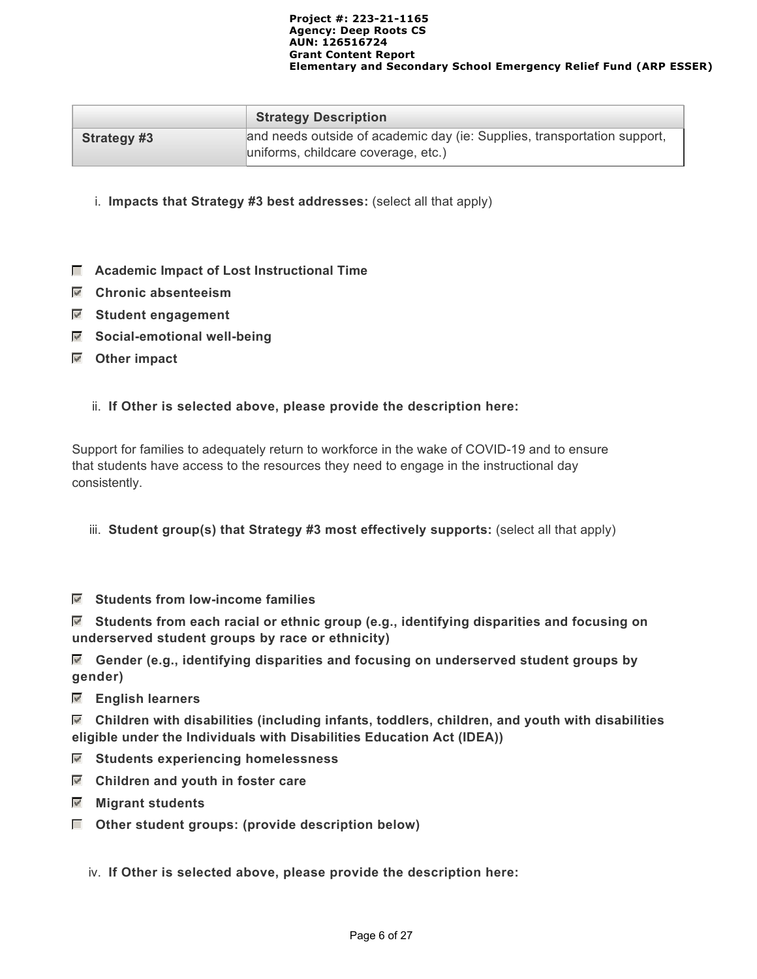|             | <b>Strategy Description</b>                                                                                     |
|-------------|-----------------------------------------------------------------------------------------------------------------|
| Strategy #3 | and needs outside of academic day (ie: Supplies, transportation support,<br>uniforms, childcare coverage, etc.) |

- i. **Impacts that Strategy #3 best addresses:** (select all that apply)
- $\Box$  Academic Impact of Lost Instructional Time
- **Chronic absenteeism**
- **Student engagement**
- **Social-emotional well-being**
- **Other impact**
	- ii. **If Other is selected above, please provide the description here:**

Support for families to adequately return to workforce in the wake of COVID-19 and to ensure that students have access to the resources they need to engage in the instructional day consistently.

- iii. **Student group(s) that Strategy #3 most effectively supports:** (select all that apply)
- **Students from low-income families**

 **Students from each racial or ethnic group (e.g., identifying disparities and focusing on underserved student groups by race or ethnicity)**

 **Gender (e.g., identifying disparities and focusing on underserved student groups by gender)**

 **English learners**

 **Children with disabilities (including infants, toddlers, children, and youth with disabilities eligible under the Individuals with Disabilities Education Act (IDEA))**

- **Students experiencing homelessness**
- **Children and youth in foster care**
- **Migrant students**
- $\Box$  Other student groups: (provide description below)
	- iv. **If Other is selected above, please provide the description here:**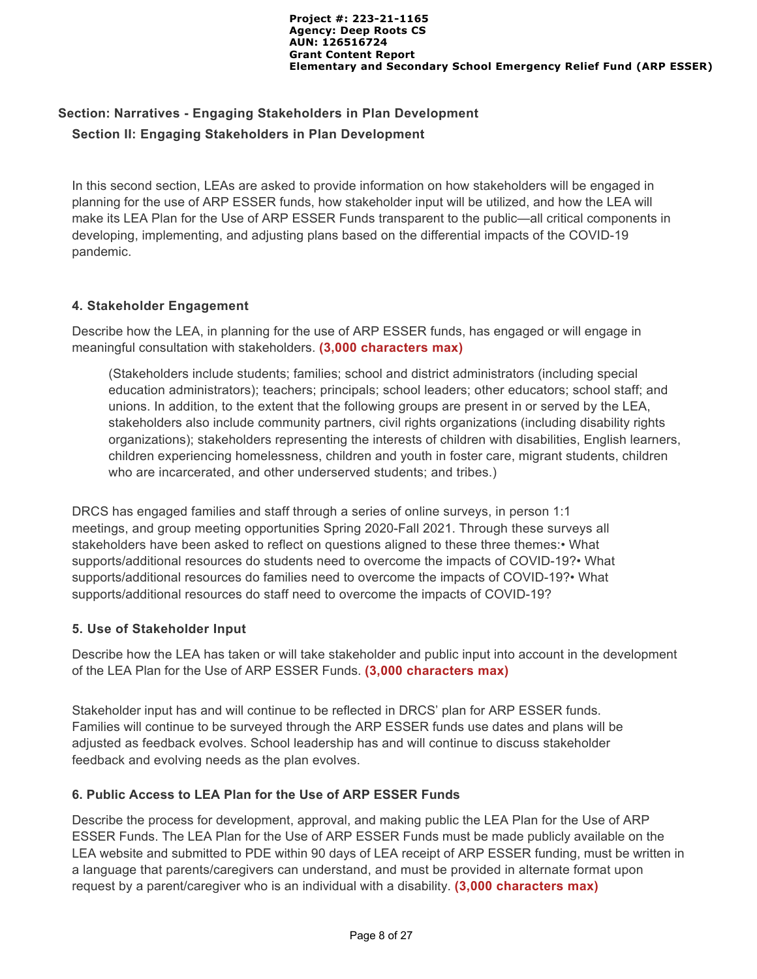# **Section: Narratives - Engaging Stakeholders in Plan Development Section II: Engaging Stakeholders in Plan Development**

In this second section, LEAs are asked to provide information on how stakeholders will be engaged in planning for the use of ARP ESSER funds, how stakeholder input will be utilized, and how the LEA will make its LEA Plan for the Use of ARP ESSER Funds transparent to the public—all critical components in developing, implementing, and adjusting plans based on the differential impacts of the COVID-19 pandemic.

#### **4. Stakeholder Engagement**

Describe how the LEA, in planning for the use of ARP ESSER funds, has engaged or will engage in meaningful consultation with stakeholders. **(3,000 characters max)**

(Stakeholders include students; families; school and district administrators (including special education administrators); teachers; principals; school leaders; other educators; school staff; and unions. In addition, to the extent that the following groups are present in or served by the LEA, stakeholders also include community partners, civil rights organizations (including disability rights organizations); stakeholders representing the interests of children with disabilities, English learners, children experiencing homelessness, children and youth in foster care, migrant students, children who are incarcerated, and other underserved students; and tribes.)

DRCS has engaged families and staff through a series of online surveys, in person 1:1 meetings, and group meeting opportunities Spring 2020-Fall 2021. Through these surveys all stakeholders have been asked to reflect on questions aligned to these three themes:• What supports/additional resources do students need to overcome the impacts of COVID-19?• What supports/additional resources do families need to overcome the impacts of COVID-19?• What supports/additional resources do staff need to overcome the impacts of COVID-19?

#### **5. Use of Stakeholder Input**

Describe how the LEA has taken or will take stakeholder and public input into account in the development of the LEA Plan for the Use of ARP ESSER Funds. **(3,000 characters max)**

Stakeholder input has and will continue to be reflected in DRCS' plan for ARP ESSER funds. Families will continue to be surveyed through the ARP ESSER funds use dates and plans will be adjusted as feedback evolves. School leadership has and will continue to discuss stakeholder feedback and evolving needs as the plan evolves.

#### **6. Public Access to LEA Plan for the Use of ARP ESSER Funds**

Describe the process for development, approval, and making public the LEA Plan for the Use of ARP ESSER Funds. The LEA Plan for the Use of ARP ESSER Funds must be made publicly available on the LEA website and submitted to PDE within 90 days of LEA receipt of ARP ESSER funding, must be written in a language that parents/caregivers can understand, and must be provided in alternate format upon request by a parent/caregiver who is an individual with a disability. **(3,000 characters max)**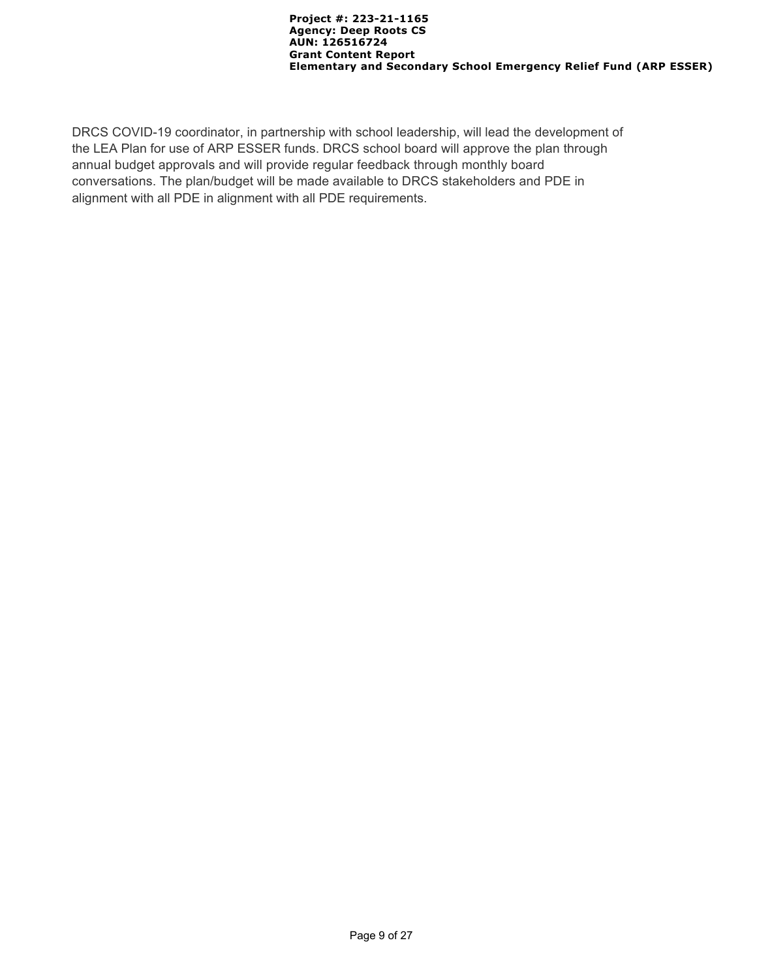DRCS COVID-19 coordinator, in partnership with school leadership, will lead the development of the LEA Plan for use of ARP ESSER funds. DRCS school board will approve the plan through annual budget approvals and will provide regular feedback through monthly board conversations. The plan/budget will be made available to DRCS stakeholders and PDE in alignment with all PDE in alignment with all PDE requirements.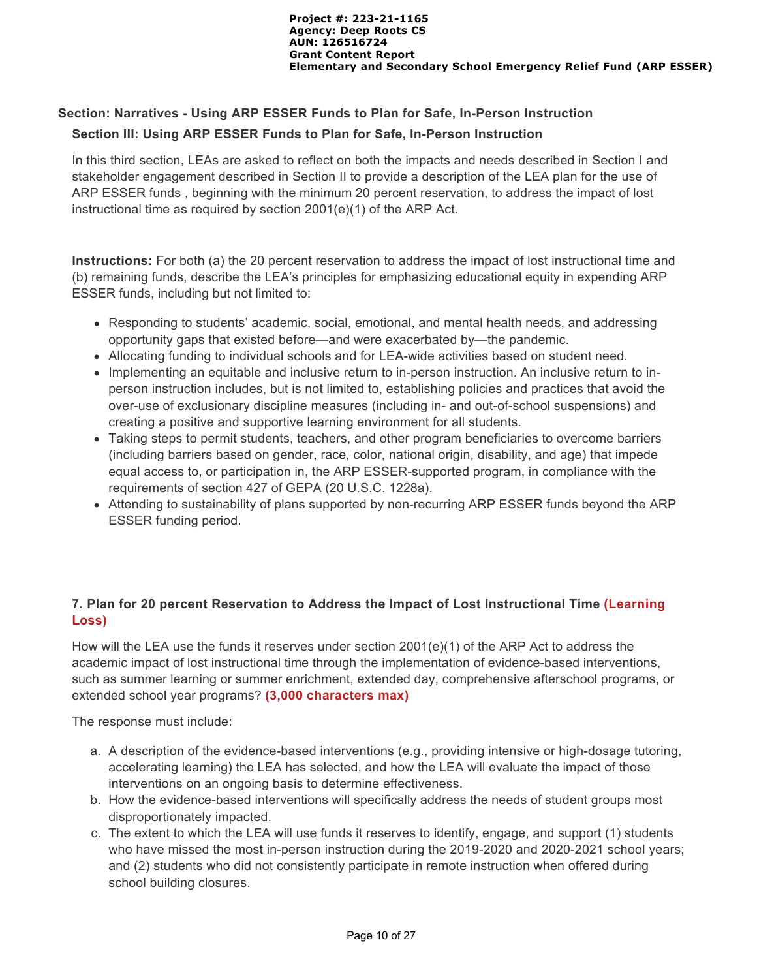# **Section: Narratives - Using ARP ESSER Funds to Plan for Safe, In-Person Instruction**

#### **Section III: Using ARP ESSER Funds to Plan for Safe, In-Person Instruction**

In this third section, LEAs are asked to reflect on both the impacts and needs described in Section I and stakeholder engagement described in Section II to provide a description of the LEA plan for the use of ARP ESSER funds , beginning with the minimum 20 percent reservation, to address the impact of lost instructional time as required by section 2001(e)(1) of the ARP Act.

**Instructions:** For both (a) the 20 percent reservation to address the impact of lost instructional time and (b) remaining funds, describe the LEA's principles for emphasizing educational equity in expending ARP ESSER funds, including but not limited to:

- Responding to students' academic, social, emotional, and mental health needs, and addressing opportunity gaps that existed before—and were exacerbated by—the pandemic.
- Allocating funding to individual schools and for LEA-wide activities based on student need.
- Implementing an equitable and inclusive return to in-person instruction. An inclusive return to inperson instruction includes, but is not limited to, establishing policies and practices that avoid the over-use of exclusionary discipline measures (including in- and out-of-school suspensions) and creating a positive and supportive learning environment for all students.
- Taking steps to permit students, teachers, and other program beneficiaries to overcome barriers (including barriers based on gender, race, color, national origin, disability, and age) that impede equal access to, or participation in, the ARP ESSER-supported program, in compliance with the requirements of section 427 of GEPA (20 U.S.C. 1228a).
- Attending to sustainability of plans supported by non-recurring ARP ESSER funds beyond the ARP ESSER funding period.

# **7. Plan for 20 percent Reservation to Address the Impact of Lost Instructional Time (Learning Loss)**

How will the LEA use the funds it reserves under section 2001(e)(1) of the ARP Act to address the academic impact of lost instructional time through the implementation of evidence-based interventions, such as summer learning or summer enrichment, extended day, comprehensive afterschool programs, or extended school year programs? **(3,000 characters max)** 

The response must include:

- a. A description of the evidence-based interventions (e.g., providing intensive or high-dosage tutoring, accelerating learning) the LEA has selected, and how the LEA will evaluate the impact of those interventions on an ongoing basis to determine effectiveness.
- b. How the evidence-based interventions will specifically address the needs of student groups most disproportionately impacted.
- c. The extent to which the LEA will use funds it reserves to identify, engage, and support (1) students who have missed the most in-person instruction during the 2019-2020 and 2020-2021 school years; and (2) students who did not consistently participate in remote instruction when offered during school building closures.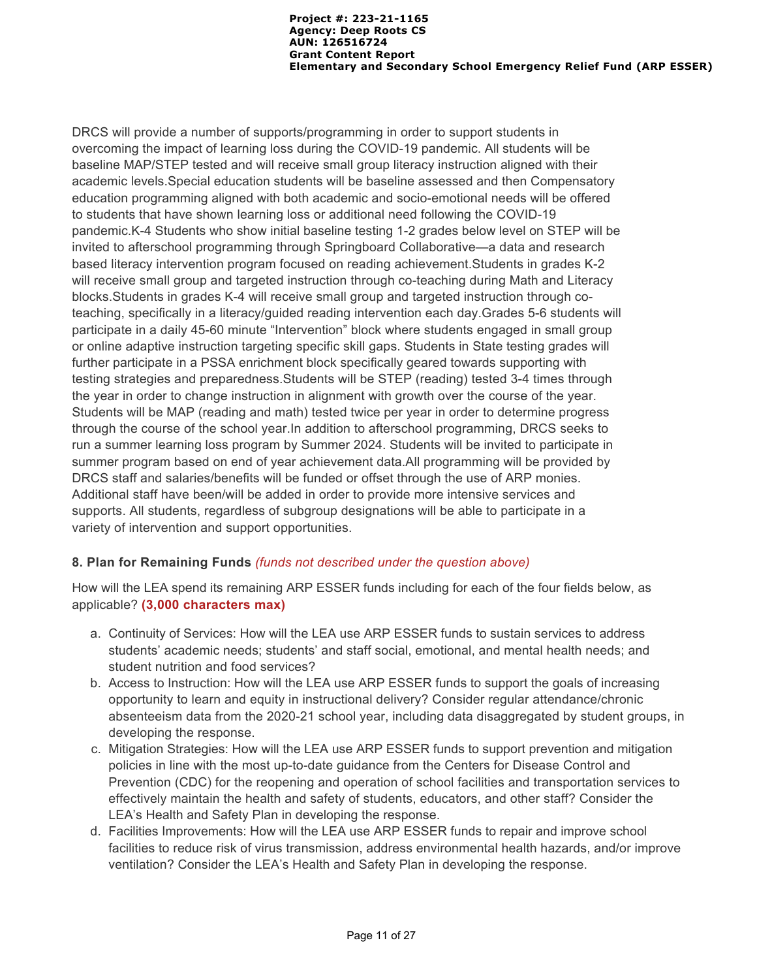DRCS will provide a number of supports/programming in order to support students in overcoming the impact of learning loss during the COVID-19 pandemic. All students will be baseline MAP/STEP tested and will receive small group literacy instruction aligned with their academic levels.Special education students will be baseline assessed and then Compensatory education programming aligned with both academic and socio-emotional needs will be offered to students that have shown learning loss or additional need following the COVID-19 pandemic.K-4 Students who show initial baseline testing 1-2 grades below level on STEP will be invited to afterschool programming through Springboard Collaborative—a data and research based literacy intervention program focused on reading achievement.Students in grades K-2 will receive small group and targeted instruction through co-teaching during Math and Literacy blocks.Students in grades K-4 will receive small group and targeted instruction through coteaching, specifically in a literacy/guided reading intervention each day.Grades 5-6 students will participate in a daily 45-60 minute "Intervention" block where students engaged in small group or online adaptive instruction targeting specific skill gaps. Students in State testing grades will further participate in a PSSA enrichment block specifically geared towards supporting with testing strategies and preparedness.Students will be STEP (reading) tested 3-4 times through the year in order to change instruction in alignment with growth over the course of the year. Students will be MAP (reading and math) tested twice per year in order to determine progress through the course of the school year.In addition to afterschool programming, DRCS seeks to run a summer learning loss program by Summer 2024. Students will be invited to participate in summer program based on end of year achievement data.All programming will be provided by DRCS staff and salaries/benefits will be funded or offset through the use of ARP monies. Additional staff have been/will be added in order to provide more intensive services and supports. All students, regardless of subgroup designations will be able to participate in a variety of intervention and support opportunities.

### **8. Plan for Remaining Funds** *(funds not described under the question above)*

How will the LEA spend its remaining ARP ESSER funds including for each of the four fields below, as applicable? **(3,000 characters max)**

- a. Continuity of Services: How will the LEA use ARP ESSER funds to sustain services to address students' academic needs; students' and staff social, emotional, and mental health needs; and student nutrition and food services?
- b. Access to Instruction: How will the LEA use ARP ESSER funds to support the goals of increasing opportunity to learn and equity in instructional delivery? Consider regular attendance/chronic absenteeism data from the 2020-21 school year, including data disaggregated by student groups, in developing the response.
- c. Mitigation Strategies: How will the LEA use ARP ESSER funds to support prevention and mitigation policies in line with the most up-to-date guidance from the Centers for Disease Control and Prevention (CDC) for the reopening and operation of school facilities and transportation services to effectively maintain the health and safety of students, educators, and other staff? Consider the LEA's Health and Safety Plan in developing the response.
- d. Facilities Improvements: How will the LEA use ARP ESSER funds to repair and improve school facilities to reduce risk of virus transmission, address environmental health hazards, and/or improve ventilation? Consider the LEA's Health and Safety Plan in developing the response.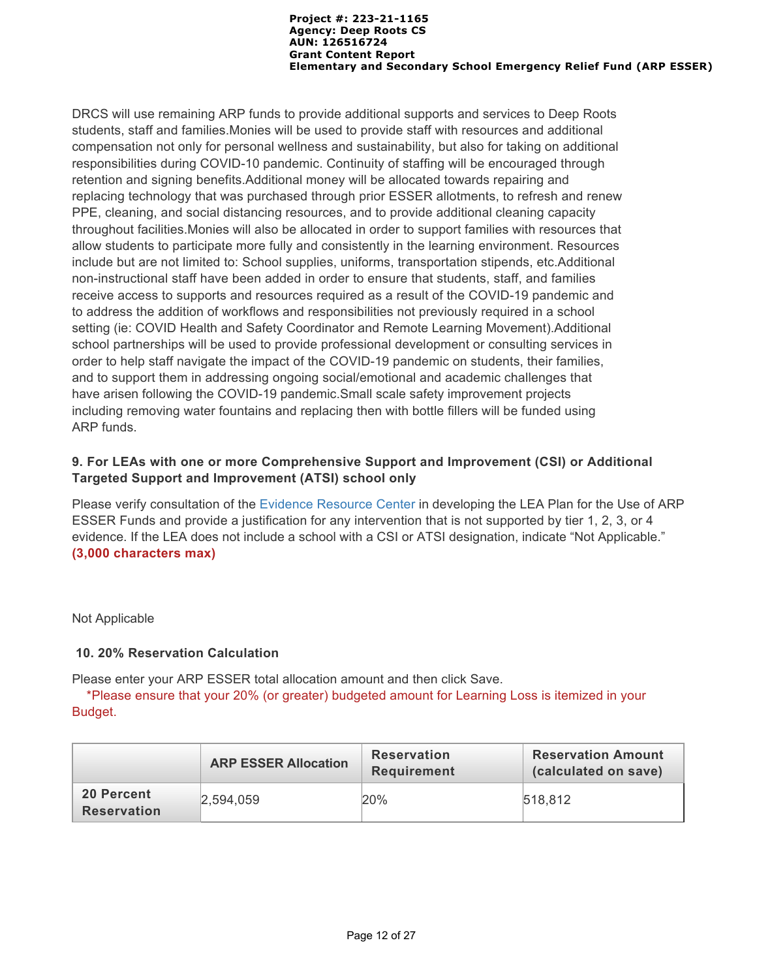DRCS will use remaining ARP funds to provide additional supports and services to Deep Roots students, staff and families.Monies will be used to provide staff with resources and additional compensation not only for personal wellness and sustainability, but also for taking on additional responsibilities during COVID-10 pandemic. Continuity of staffing will be encouraged through retention and signing benefits.Additional money will be allocated towards repairing and replacing technology that was purchased through prior ESSER allotments, to refresh and renew PPE, cleaning, and social distancing resources, and to provide additional cleaning capacity throughout facilities.Monies will also be allocated in order to support families with resources that allow students to participate more fully and consistently in the learning environment. Resources include but are not limited to: School supplies, uniforms, transportation stipends, etc.Additional non-instructional staff have been added in order to ensure that students, staff, and families receive access to supports and resources required as a result of the COVID-19 pandemic and to address the addition of workflows and responsibilities not previously required in a school setting (ie: COVID Health and Safety Coordinator and Remote Learning Movement).Additional school partnerships will be used to provide professional development or consulting services in order to help staff navigate the impact of the COVID-19 pandemic on students, their families, and to support them in addressing ongoing social/emotional and academic challenges that have arisen following the COVID-19 pandemic.Small scale safety improvement projects including removing water fountains and replacing then with bottle fillers will be funded using ARP funds.

## **9. For LEAs with one or more Comprehensive Support and Improvement (CSI) or Additional Targeted Support and Improvement (ATSI) school only**

Please verify consultation of the [Evidence Resource Center](https://www.evidenceforpa.org/) in developing the LEA Plan for the Use of ARP ESSER Funds and provide a justification for any intervention that is not supported by tier 1, 2, 3, or 4 evidence. If the LEA does not include a school with a CSI or ATSI designation, indicate "Not Applicable." **(3,000 characters max)**

#### Not Applicable

### **10. 20% Reservation Calculation**

Please enter your ARP ESSER total allocation amount and then click Save.

 \*Please ensure that your 20% (or greater) budgeted amount for Learning Loss is itemized in your Budget.

|                                  | <b>ARP ESSER Allocation</b> | <b>Reservation</b><br><b>Requirement</b> | <b>Reservation Amount</b><br>(calculated on save) |
|----------------------------------|-----------------------------|------------------------------------------|---------------------------------------------------|
| 20 Percent<br><b>Reservation</b> | 2,594,059                   | $20\%$                                   | 518,812                                           |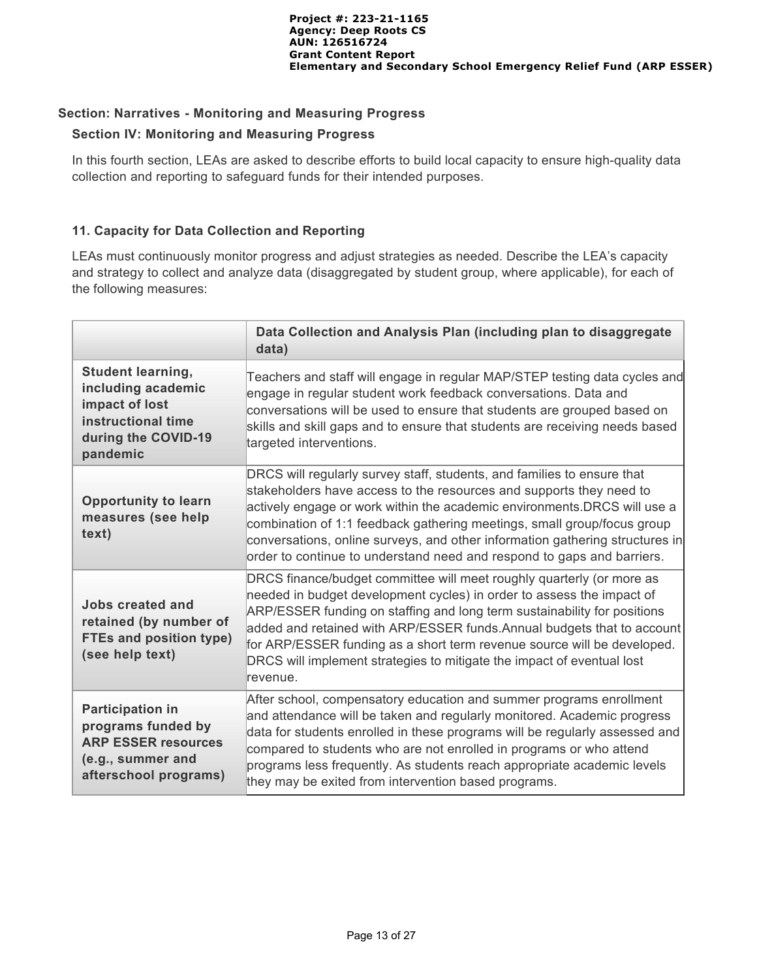#### **Section: Narratives - Monitoring and Measuring Progress**

#### **Section IV: Monitoring and Measuring Progress**

In this fourth section, LEAs are asked to describe efforts to build local capacity to ensure high-quality data collection and reporting to safeguard funds for their intended purposes.

### **11. Capacity for Data Collection and Reporting**

LEAs must continuously monitor progress and adjust strategies as needed. Describe the LEA's capacity and strategy to collect and analyze data (disaggregated by student group, where applicable), for each of the following measures:

|                                                                                                                           | Data Collection and Analysis Plan (including plan to disaggregate<br>data)                                                                                                                                                                                                                                                                                                                                                                                             |
|---------------------------------------------------------------------------------------------------------------------------|------------------------------------------------------------------------------------------------------------------------------------------------------------------------------------------------------------------------------------------------------------------------------------------------------------------------------------------------------------------------------------------------------------------------------------------------------------------------|
| <b>Student learning,</b><br>including academic<br>impact of lost<br>instructional time<br>during the COVID-19<br>pandemic | Teachers and staff will engage in regular MAP/STEP testing data cycles and<br>engage in regular student work feedback conversations. Data and<br>conversations will be used to ensure that students are grouped based on<br>skills and skill gaps and to ensure that students are receiving needs based<br>targeted interventions.                                                                                                                                     |
| <b>Opportunity to learn</b><br>measures (see help<br>text)                                                                | DRCS will regularly survey staff, students, and families to ensure that<br>stakeholders have access to the resources and supports they need to<br>actively engage or work within the academic environments.DRCS will use a<br>combination of 1:1 feedback gathering meetings, small group/focus group<br>conversations, online surveys, and other information gathering structures in<br>order to continue to understand need and respond to gaps and barriers.        |
| Jobs created and<br>retained (by number of<br><b>FTEs and position type)</b><br>(see help text)                           | DRCS finance/budget committee will meet roughly quarterly (or more as<br>needed in budget development cycles) in order to assess the impact of<br>ARP/ESSER funding on staffing and long term sustainability for positions<br>added and retained with ARP/ESSER funds. Annual budgets that to account<br>for ARP/ESSER funding as a short term revenue source will be developed.<br>DRCS will implement strategies to mitigate the impact of eventual lost<br>revenue. |
| <b>Participation in</b><br>programs funded by<br><b>ARP ESSER resources</b><br>(e.g., summer and<br>afterschool programs) | After school, compensatory education and summer programs enrollment<br>and attendance will be taken and regularly monitored. Academic progress<br>data for students enrolled in these programs will be regularly assessed and<br>compared to students who are not enrolled in programs or who attend<br>programs less frequently. As students reach appropriate academic levels<br>they may be exited from intervention based programs.                                |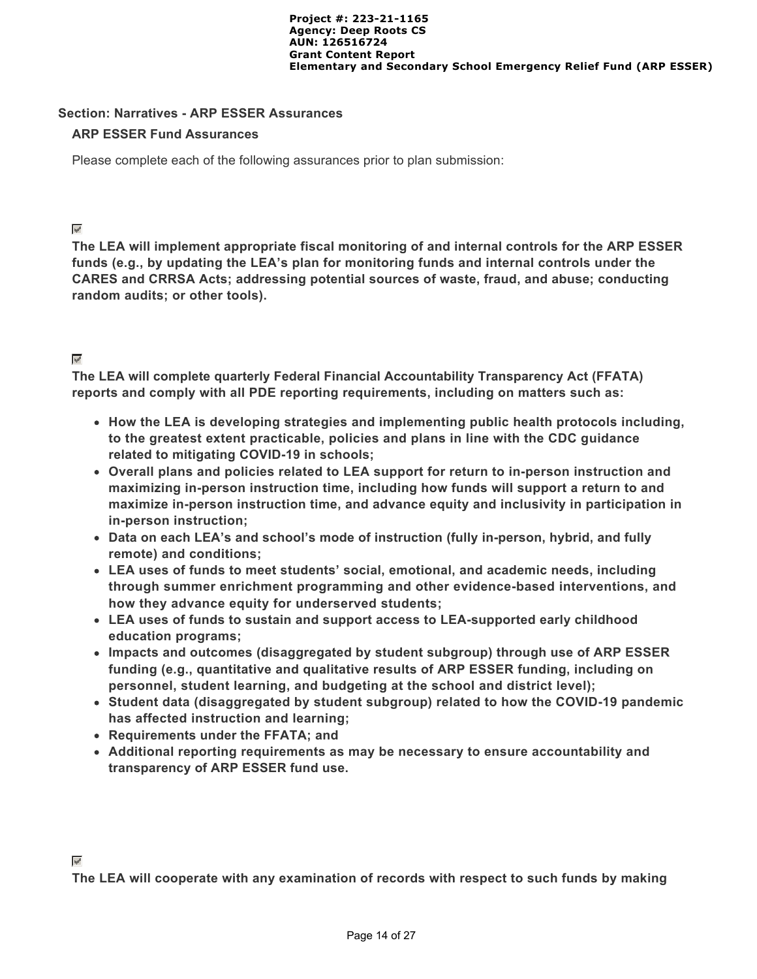#### **Section: Narratives - ARP ESSER Assurances**

#### **ARP ESSER Fund Assurances**

Please complete each of the following assurances prior to plan submission:

#### $\overline{\mathbf{v}}$

**The LEA will implement appropriate fiscal monitoring of and internal controls for the ARP ESSER funds (e.g., by updating the LEA's plan for monitoring funds and internal controls under the CARES and CRRSA Acts; addressing potential sources of waste, fraud, and abuse; conducting random audits; or other tools).**

### $\varphi^{\prime}$

**The LEA will complete quarterly Federal Financial Accountability Transparency Act (FFATA) reports and comply with all PDE reporting requirements, including on matters such as:**

- **How the LEA is developing strategies and implementing public health protocols including, to the greatest extent practicable, policies and plans in line with the CDC guidance related to mitigating COVID-19 in schools;**
- **Overall plans and policies related to LEA support for return to in-person instruction and maximizing in-person instruction time, including how funds will support a return to and maximize in-person instruction time, and advance equity and inclusivity in participation in in-person instruction;**
- **Data on each LEA's and school's mode of instruction (fully in-person, hybrid, and fully remote) and conditions;**
- **LEA uses of funds to meet students' social, emotional, and academic needs, including through summer enrichment programming and other evidence-based interventions, and how they advance equity for underserved students;**
- **LEA uses of funds to sustain and support access to LEA-supported early childhood education programs;**
- **Impacts and outcomes (disaggregated by student subgroup) through use of ARP ESSER funding (e.g., quantitative and qualitative results of ARP ESSER funding, including on personnel, student learning, and budgeting at the school and district level);**
- **Student data (disaggregated by student subgroup) related to how the COVID-19 pandemic has affected instruction and learning;**
- **Requirements under the FFATA; and**
- **Additional reporting requirements as may be necessary to ensure accountability and transparency of ARP ESSER fund use.**

**The LEA will cooperate with any examination of records with respect to such funds by making**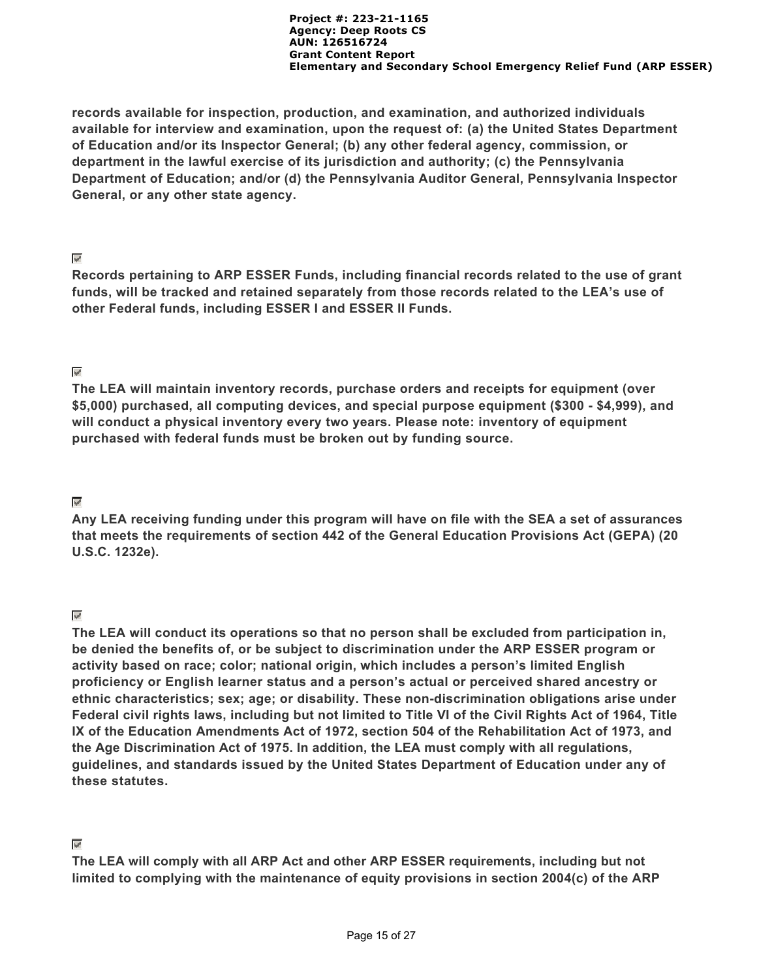**records available for inspection, production, and examination, and authorized individuals available for interview and examination, upon the request of: (a) the United States Department of Education and/or its Inspector General; (b) any other federal agency, commission, or department in the lawful exercise of its jurisdiction and authority; (c) the Pennsylvania Department of Education; and/or (d) the Pennsylvania Auditor General, Pennsylvania Inspector General, or any other state agency.**

#### $\mathbf{v}^{\prime}$

**Records pertaining to ARP ESSER Funds, including financial records related to the use of grant funds, will be tracked and retained separately from those records related to the LEA's use of other Federal funds, including ESSER I and ESSER II Funds.**

# $\overline{\mathscr{C}}$

**The LEA will maintain inventory records, purchase orders and receipts for equipment (over \$5,000) purchased, all computing devices, and special purpose equipment (\$300 - \$4,999), and will conduct a physical inventory every two years. Please note: inventory of equipment purchased with federal funds must be broken out by funding source.**

### $\overline{\mathscr{P}}$

**Any LEA receiving funding under this program will have on file with the SEA a set of assurances that meets the requirements of section 442 of the General Education Provisions Act (GEPA) (20 U.S.C. 1232e).**

### $\vee$

**The LEA will conduct its operations so that no person shall be excluded from participation in, be denied the benefits of, or be subject to discrimination under the ARP ESSER program or activity based on race; color; national origin, which includes a person's limited English proficiency or English learner status and a person's actual or perceived shared ancestry or ethnic characteristics; sex; age; or disability. These non-discrimination obligations arise under Federal civil rights laws, including but not limited to Title VI of the Civil Rights Act of 1964, Title IX of the Education Amendments Act of 1972, section 504 of the Rehabilitation Act of 1973, and the Age Discrimination Act of 1975. In addition, the LEA must comply with all regulations, guidelines, and standards issued by the United States Department of Education under any of these statutes.**

### $\varphi^i$

**The LEA will comply with all ARP Act and other ARP ESSER requirements, including but not limited to complying with the maintenance of equity provisions in section 2004(c) of the ARP**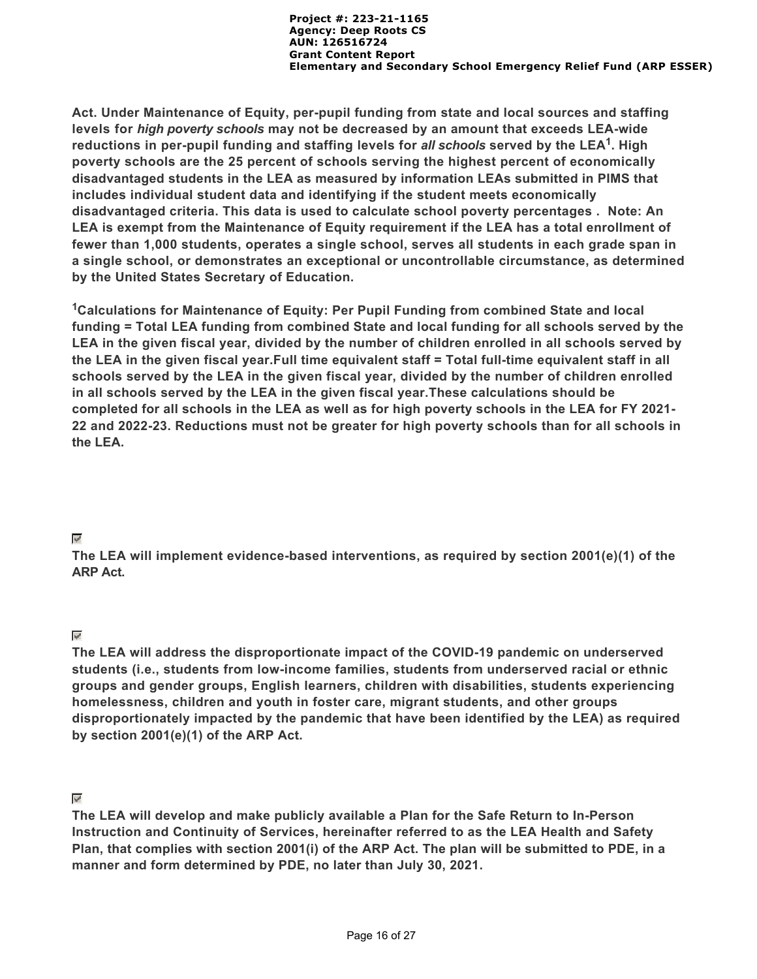**Act. Under Maintenance of Equity, per-pupil funding from state and local sources and staffing levels for** *high poverty schools* **may not be decreased by an amount that exceeds LEA-wide** reductions in per-pupil funding and staffing levels for *all* schools served by the LEA<sup>1</sup>. High **poverty schools are the 25 percent of schools serving the highest percent of economically disadvantaged students in the LEA as measured by information LEAs submitted in PIMS that includes individual student data and identifying if the student meets economically disadvantaged criteria. This data is used to calculate school poverty percentages . Note: An LEA is exempt from the Maintenance of Equity requirement if the LEA has a total enrollment of fewer than 1,000 students, operates a single school, serves all students in each grade span in a single school, or demonstrates an exceptional or uncontrollable circumstance, as determined by the United States Secretary of Education.**

<sup>1</sup>Calculations for Maintenance of Equity: Per Pupil Funding from combined State and local **funding = Total LEA funding from combined State and local funding for all schools served by the LEA in the given fiscal year, divided by the number of children enrolled in all schools served by the LEA in the given fiscal year.Full time equivalent staff = Total full-time equivalent staff in all schools served by the LEA in the given fiscal year, divided by the number of children enrolled in all schools served by the LEA in the given fiscal year.These calculations should be completed for all schools in the LEA as well as for high poverty schools in the LEA for FY 2021- 22 and 2022-23. Reductions must not be greater for high poverty schools than for all schools in the LEA.**

#### $\mathcal{P}$

**The LEA will implement evidence-based interventions, as required by section 2001(e)(1) of the ARP Act.**

### $\overline{\mathscr{S}}$

**The LEA will address the disproportionate impact of the COVID-19 pandemic on underserved students (i.e., students from low-income families, students from underserved racial or ethnic groups and gender groups, English learners, children with disabilities, students experiencing homelessness, children and youth in foster care, migrant students, and other groups disproportionately impacted by the pandemic that have been identified by the LEA) as required by section 2001(e)(1) of the ARP Act.**

### $\mathcal{A}$

**The LEA will develop and make publicly available a Plan for the Safe Return to In-Person Instruction and Continuity of Services, hereinafter referred to as the LEA Health and Safety Plan, that complies with section 2001(i) of the ARP Act. The plan will be submitted to PDE, in a manner and form determined by PDE, no later than July 30, 2021.**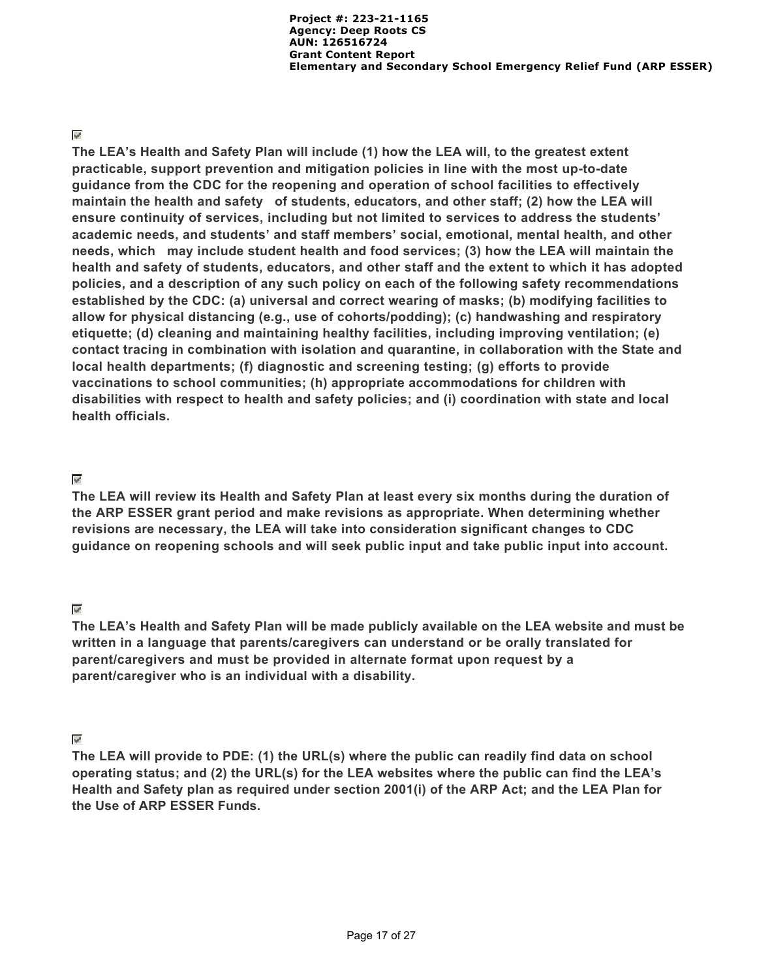#### $\overline{\mathscr{C}}$

**The LEA's Health and Safety Plan will include (1) how the LEA will, to the greatest extent practicable, support prevention and mitigation policies in line with the most up-to-date guidance from the CDC for the reopening and operation of school facilities to effectively maintain the health and safety of students, educators, and other staff; (2) how the LEA will ensure continuity of services, including but not limited to services to address the students' academic needs, and students' and staff members' social, emotional, mental health, and other needs, which may include student health and food services; (3) how the LEA will maintain the health and safety of students, educators, and other staff and the extent to which it has adopted policies, and a description of any such policy on each of the following safety recommendations established by the CDC: (a) universal and correct wearing of masks; (b) modifying facilities to allow for physical distancing (e.g., use of cohorts/podding); (c) handwashing and respiratory etiquette; (d) cleaning and maintaining healthy facilities, including improving ventilation; (e) contact tracing in combination with isolation and quarantine, in collaboration with the State and local health departments; (f) diagnostic and screening testing; (g) efforts to provide vaccinations to school communities; (h) appropriate accommodations for children with disabilities with respect to health and safety policies; and (i) coordination with state and local health officials.**

### $\overline{\mathscr{S}}$

**The LEA will review its Health and Safety Plan at least every six months during the duration of the ARP ESSER grant period and make revisions as appropriate. When determining whether revisions are necessary, the LEA will take into consideration significant changes to CDC guidance on reopening schools and will seek public input and take public input into account.**

### $\varphi^i$

**The LEA's Health and Safety Plan will be made publicly available on the LEA website and must be written in a language that parents/caregivers can understand or be orally translated for parent/caregivers and must be provided in alternate format upon request by a parent/caregiver who is an individual with a disability.**

### $\overline{\mathscr{P}}$

**The LEA will provide to PDE: (1) the URL(s) where the public can readily find data on school operating status; and (2) the URL(s) for the LEA websites where the public can find the LEA's Health and Safety plan as required under section 2001(i) of the ARP Act; and the LEA Plan for the Use of ARP ESSER Funds.**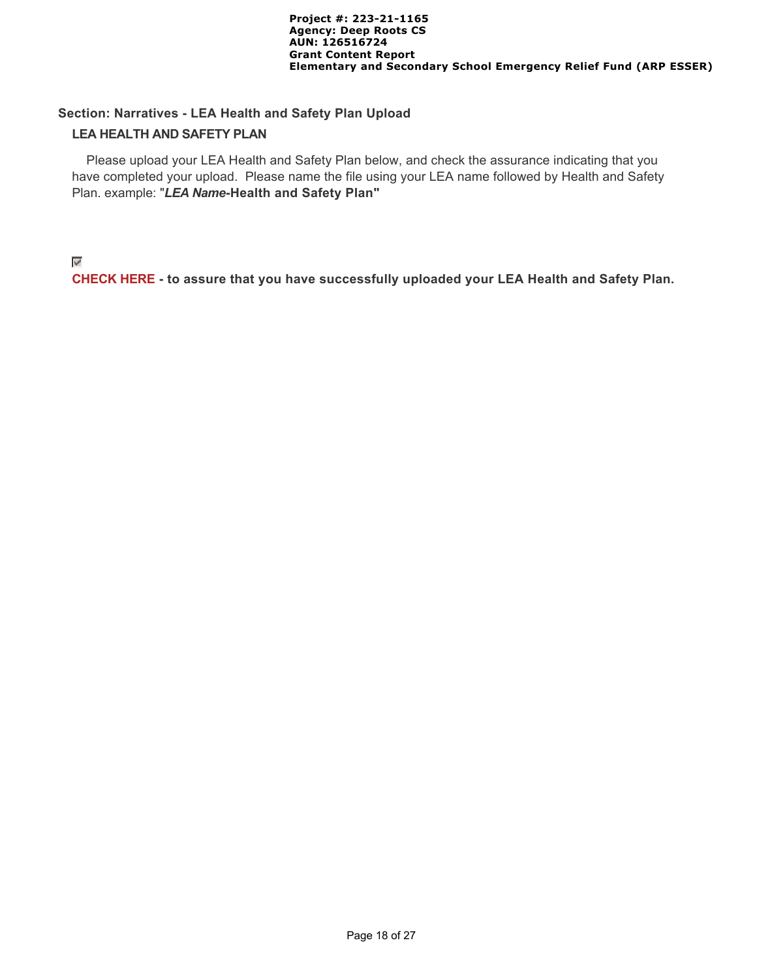#### **Section: Narratives - LEA Health and Safety Plan Upload**

#### **LEA HEALTH AND SAFETY PLAN**

 Please upload your LEA Health and Safety Plan below, and check the assurance indicating that you have completed your upload. Please name the file using your LEA name followed by Health and Safety Plan. example: "*LEA Name***-Health and Safety Plan"**

#### $\overline{\mathscr{S}}$

**CHECK HERE - to assure that you have successfully uploaded your LEA Health and Safety Plan.**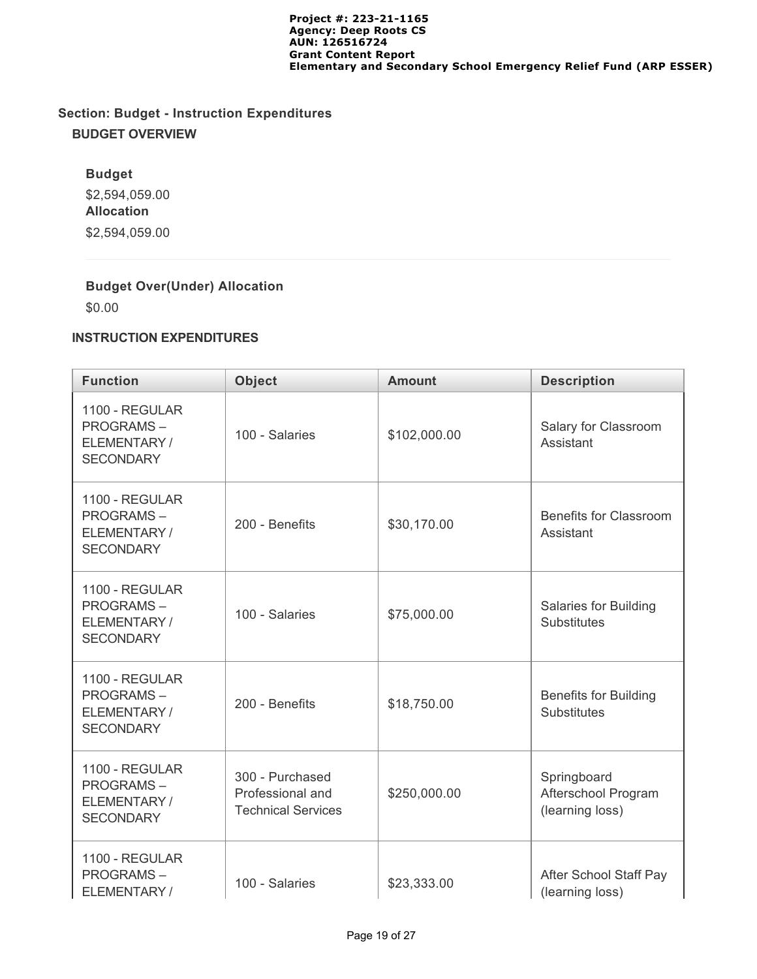# **Section: Budget - Instruction Expenditures BUDGET OVERVIEW**

## **Budget**

\$2,594,059.00 **Allocation** \$2,594,059.00

# **Budget Over(Under) Allocation**

\$0.00

# **INSTRUCTION EXPENDITURES**

| <b>Function</b>                                                       | <b>Object</b>                                                    | <b>Amount</b> | <b>Description</b>                                    |
|-----------------------------------------------------------------------|------------------------------------------------------------------|---------------|-------------------------------------------------------|
| 1100 - REGULAR<br><b>PROGRAMS-</b><br>ELEMENTARY/<br><b>SECONDARY</b> | 100 - Salaries                                                   | \$102,000.00  | Salary for Classroom<br>Assistant                     |
| 1100 - REGULAR<br><b>PROGRAMS-</b><br>ELEMENTARY/<br><b>SECONDARY</b> | 200 - Benefits                                                   | \$30,170.00   | Benefits for Classroom<br>Assistant                   |
| 1100 - REGULAR<br><b>PROGRAMS-</b><br>ELEMENTARY/<br><b>SECONDARY</b> | 100 - Salaries                                                   | \$75,000.00   | Salaries for Building<br><b>Substitutes</b>           |
| 1100 - REGULAR<br><b>PROGRAMS-</b><br>ELEMENTARY/<br><b>SECONDARY</b> | 200 - Benefits                                                   | \$18,750.00   | <b>Benefits for Building</b><br><b>Substitutes</b>    |
| 1100 - REGULAR<br><b>PROGRAMS-</b><br>ELEMENTARY/<br><b>SECONDARY</b> | 300 - Purchased<br>Professional and<br><b>Technical Services</b> | \$250,000.00  | Springboard<br>Afterschool Program<br>(learning loss) |
| 1100 - REGULAR<br><b>PROGRAMS-</b><br>ELEMENTARY/                     | 100 - Salaries                                                   | \$23,333.00   | After School Staff Pay<br>(learning loss)             |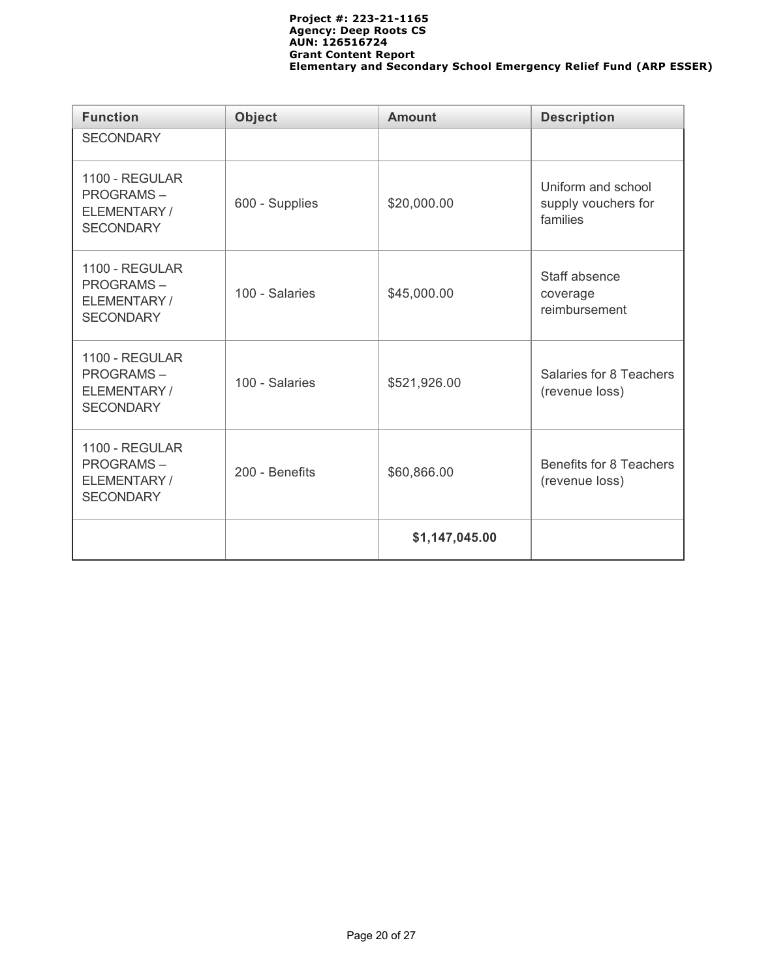| <b>Function</b>                                                       | <b>Object</b>  | <b>Amount</b>  | <b>Description</b>                                    |
|-----------------------------------------------------------------------|----------------|----------------|-------------------------------------------------------|
| <b>SECONDARY</b>                                                      |                |                |                                                       |
| 1100 - REGULAR<br><b>PROGRAMS-</b><br>ELEMENTARY/<br><b>SECONDARY</b> | 600 - Supplies | \$20,000.00    | Uniform and school<br>supply vouchers for<br>families |
| 1100 - REGULAR<br><b>PROGRAMS-</b><br>ELEMENTARY/<br><b>SECONDARY</b> | 100 - Salaries | \$45,000.00    | Staff absence<br>coverage<br>reimbursement            |
| 1100 - REGULAR<br><b>PROGRAMS-</b><br>ELEMENTARY/<br><b>SECONDARY</b> | 100 - Salaries | \$521,926.00   | Salaries for 8 Teachers<br>(revenue loss)             |
| 1100 - REGULAR<br><b>PROGRAMS-</b><br>ELEMENTARY/<br><b>SECONDARY</b> | 200 - Benefits | \$60,866.00    | Benefits for 8 Teachers<br>(revenue loss)             |
|                                                                       |                | \$1,147,045.00 |                                                       |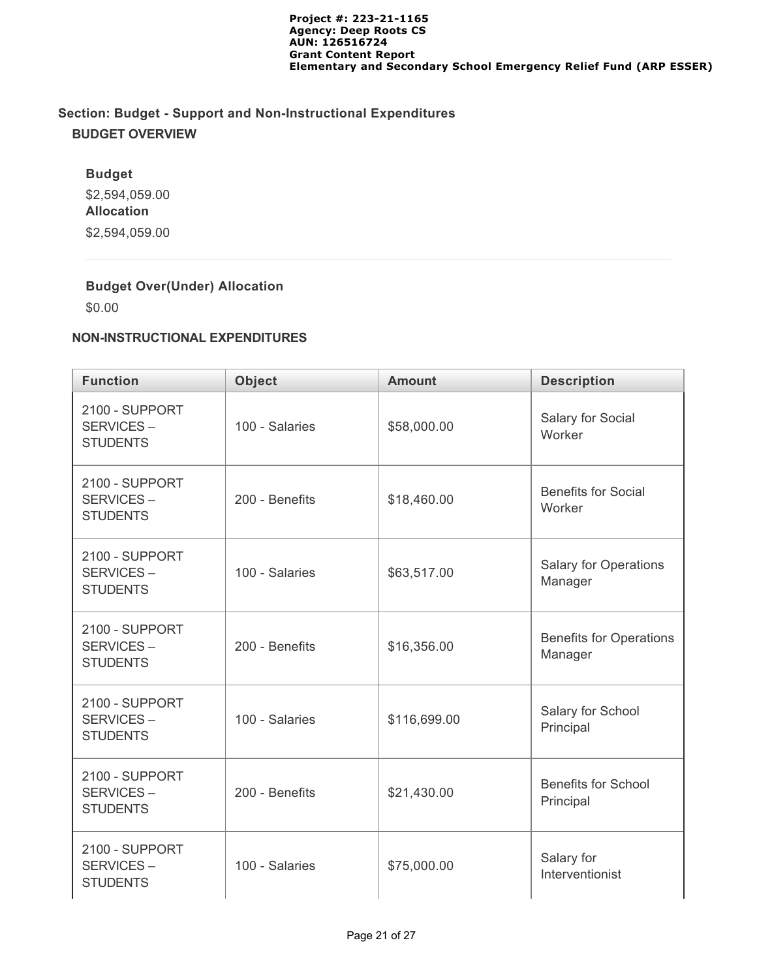# **Section: Budget - Support and Non-Instructional Expenditures BUDGET OVERVIEW**

# **Budget** \$2,594,059.00 **Allocation** \$2,594,059.00

# **Budget Over(Under) Allocation**

\$0.00

#### **NON-INSTRUCTIONAL EXPENDITURES**

| <b>Function</b>                                | <b>Object</b>  | <b>Amount</b> | <b>Description</b>                        |
|------------------------------------------------|----------------|---------------|-------------------------------------------|
| 2100 - SUPPORT<br>SERVICES-<br><b>STUDENTS</b> | 100 - Salaries | \$58,000.00   | Salary for Social<br>Worker               |
| 2100 - SUPPORT<br>SERVICES-<br><b>STUDENTS</b> | 200 - Benefits | \$18,460.00   | <b>Benefits for Social</b><br>Worker      |
| 2100 - SUPPORT<br>SERVICES-<br><b>STUDENTS</b> | 100 - Salaries | \$63,517.00   | <b>Salary for Operations</b><br>Manager   |
| 2100 - SUPPORT<br>SERVICES-<br><b>STUDENTS</b> | 200 - Benefits | \$16,356.00   | <b>Benefits for Operations</b><br>Manager |
| 2100 - SUPPORT<br>SERVICES-<br><b>STUDENTS</b> | 100 - Salaries | \$116,699.00  | Salary for School<br>Principal            |
| 2100 - SUPPORT<br>SERVICES-<br><b>STUDENTS</b> | 200 - Benefits | \$21,430.00   | <b>Benefits for School</b><br>Principal   |
| 2100 - SUPPORT<br>SERVICES-<br><b>STUDENTS</b> | 100 - Salaries | \$75,000.00   | Salary for<br>Interventionist             |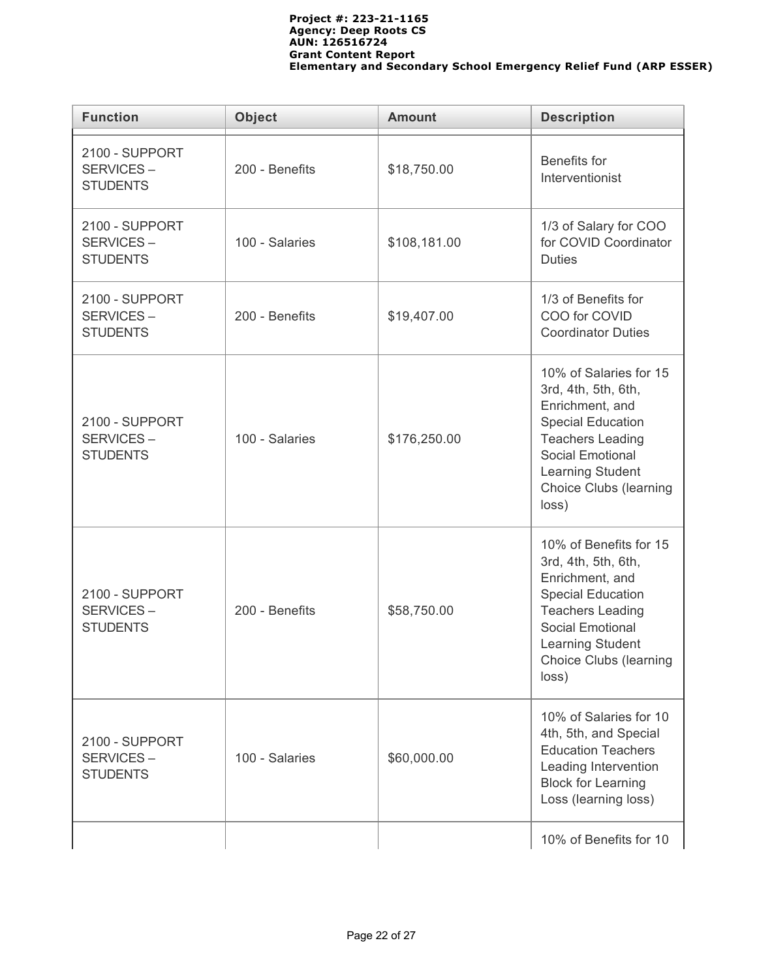| <b>Function</b>                                | <b>Object</b>                  | <b>Description</b> |                                                                                                                                                                                                                  |  |  |
|------------------------------------------------|--------------------------------|--------------------|------------------------------------------------------------------------------------------------------------------------------------------------------------------------------------------------------------------|--|--|
| 2100 - SUPPORT<br>SERVICES-<br><b>STUDENTS</b> | 200 - Benefits<br>\$18,750.00  |                    | Benefits for<br>Interventionist                                                                                                                                                                                  |  |  |
| 2100 - SUPPORT<br>SERVICES-<br><b>STUDENTS</b> | 100 - Salaries                 | \$108,181.00       | 1/3 of Salary for COO<br>for COVID Coordinator<br><b>Duties</b>                                                                                                                                                  |  |  |
| 2100 - SUPPORT<br>SERVICES-<br><b>STUDENTS</b> | 200 - Benefits                 | \$19,407.00        | 1/3 of Benefits for<br>COO for COVID<br><b>Coordinator Duties</b>                                                                                                                                                |  |  |
| 2100 - SUPPORT<br>SERVICES-<br><b>STUDENTS</b> | 100 - Salaries<br>\$176,250.00 |                    | 10% of Salaries for 15<br>3rd, 4th, 5th, 6th,<br>Enrichment, and<br><b>Special Education</b><br><b>Teachers Leading</b><br><b>Social Emotional</b><br>Learning Student<br>Choice Clubs (learning<br>loss)        |  |  |
| 2100 - SUPPORT<br>SERVICES-<br><b>STUDENTS</b> | 200 - Benefits                 | \$58,750.00        | 10% of Benefits for 15<br>3rd, 4th, 5th, 6th,<br>Enrichment, and<br><b>Special Education</b><br><b>Teachers Leading</b><br><b>Social Emotional</b><br>Learning Student<br><b>Choice Clubs (learning</b><br>loss) |  |  |
| 2100 - SUPPORT<br>SERVICES-<br><b>STUDENTS</b> | 100 - Salaries                 | \$60,000.00        | 10% of Salaries for 10<br>4th, 5th, and Special<br><b>Education Teachers</b><br>Leading Intervention<br><b>Block for Learning</b><br>Loss (learning loss)                                                        |  |  |
|                                                |                                |                    | 10% of Benefits for 10                                                                                                                                                                                           |  |  |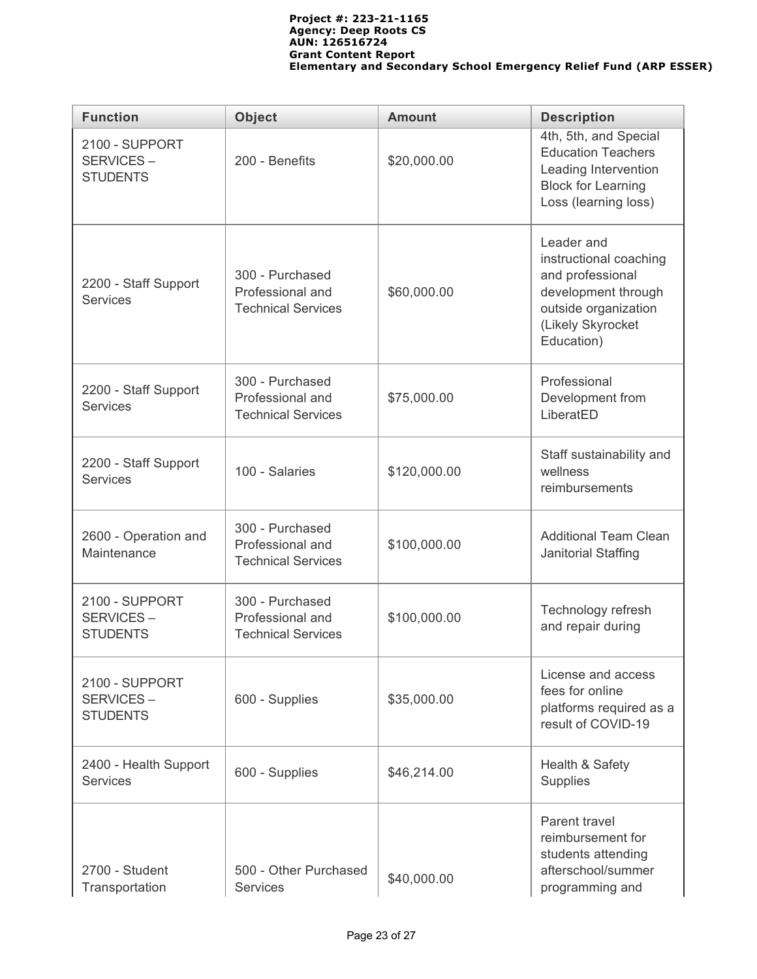| <b>Function</b>                                       | <b>Object</b>                                                    | <b>Amount</b>                                                                                                                              |                                                                                                                                 |  |
|-------------------------------------------------------|------------------------------------------------------------------|--------------------------------------------------------------------------------------------------------------------------------------------|---------------------------------------------------------------------------------------------------------------------------------|--|
| 2100 - SUPPORT<br>SERVICES-<br><b>STUDENTS</b>        | 200 - Benefits                                                   | \$20,000.00                                                                                                                                | 4th, 5th, and Special<br><b>Education Teachers</b><br>Leading Intervention<br><b>Block for Learning</b><br>Loss (learning loss) |  |
| 2200 - Staff Support<br><b>Services</b>               | 300 - Purchased<br>Professional and<br><b>Technical Services</b> | Leader and<br>instructional coaching<br>and professional<br>development through<br>outside organization<br>(Likely Skyrocket<br>Education) |                                                                                                                                 |  |
| 2200 - Staff Support<br><b>Services</b>               | 300 - Purchased<br>Professional and<br><b>Technical Services</b> | \$75,000.00                                                                                                                                |                                                                                                                                 |  |
| 2200 - Staff Support<br><b>Services</b>               | 100 - Salaries                                                   | \$120,000.00                                                                                                                               | Staff sustainability and<br>wellness<br>reimbursements                                                                          |  |
| 2600 - Operation and<br>Maintenance                   | 300 - Purchased<br>Professional and<br><b>Technical Services</b> | \$100,000.00                                                                                                                               | <b>Additional Team Clean</b><br>Janitorial Staffing                                                                             |  |
| 2100 - SUPPORT<br>SERVICES-<br><b>STUDENTS</b>        | 300 - Purchased<br>Professional and<br><b>Technical Services</b> | \$100,000.00                                                                                                                               | Technology refresh<br>and repair during                                                                                         |  |
| <b>2100 - SUPPORT</b><br>SERVICES-<br><b>STUDENTS</b> | 600 - Supplies                                                   | \$35,000.00                                                                                                                                | License and access<br>fees for online<br>platforms required as a<br>result of COVID-19                                          |  |
| 2400 - Health Support<br><b>Services</b>              | 600 - Supplies                                                   | \$46,214.00                                                                                                                                | Health & Safety<br><b>Supplies</b>                                                                                              |  |
| 2700 - Student<br>Transportation                      | 500 - Other Purchased<br><b>Services</b>                         | \$40,000.00                                                                                                                                | Parent travel<br>reimbursement for<br>students attending<br>afterschool/summer<br>programming and                               |  |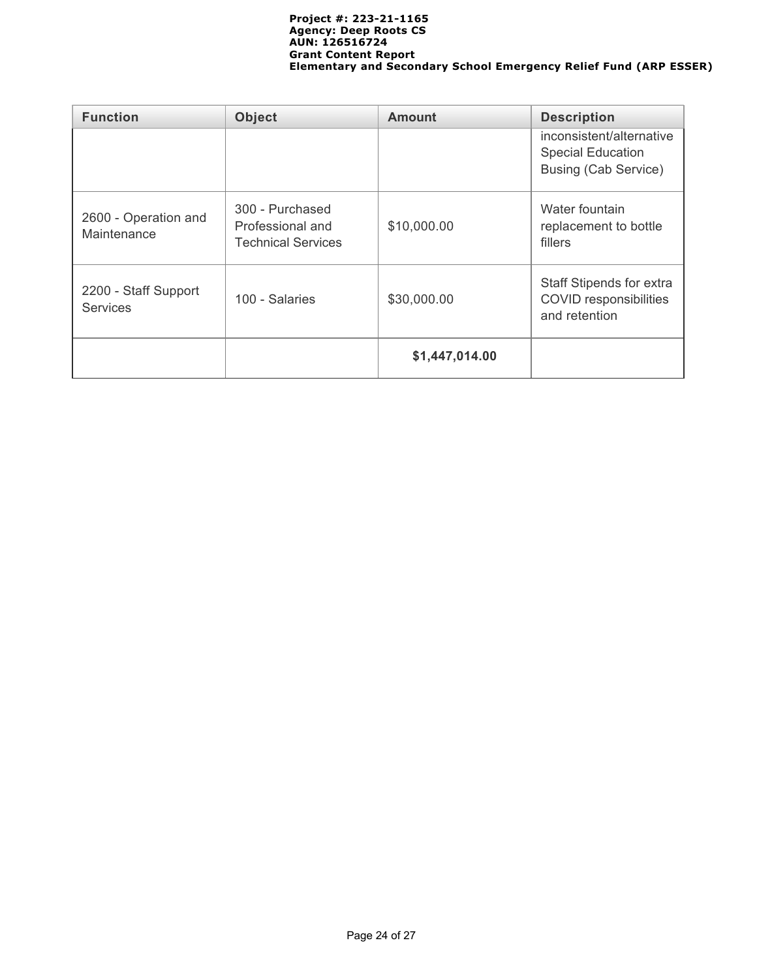| <b>Function</b>                         | <b>Object</b>                                                    | <b>Amount</b>  | <b>Description</b>                                                                  |  |  |
|-----------------------------------------|------------------------------------------------------------------|----------------|-------------------------------------------------------------------------------------|--|--|
|                                         |                                                                  |                | inconsistent/alternative<br><b>Special Education</b><br><b>Busing (Cab Service)</b> |  |  |
| 2600 - Operation and<br>Maintenance     | 300 - Purchased<br>Professional and<br><b>Technical Services</b> | \$10,000.00    | Water fountain<br>replacement to bottle<br>fillers                                  |  |  |
| 2200 - Staff Support<br><b>Services</b> | 100 - Salaries                                                   | \$30,000.00    | Staff Stipends for extra<br><b>COVID</b> responsibilities<br>and retention          |  |  |
|                                         |                                                                  | \$1,447,014.00 |                                                                                     |  |  |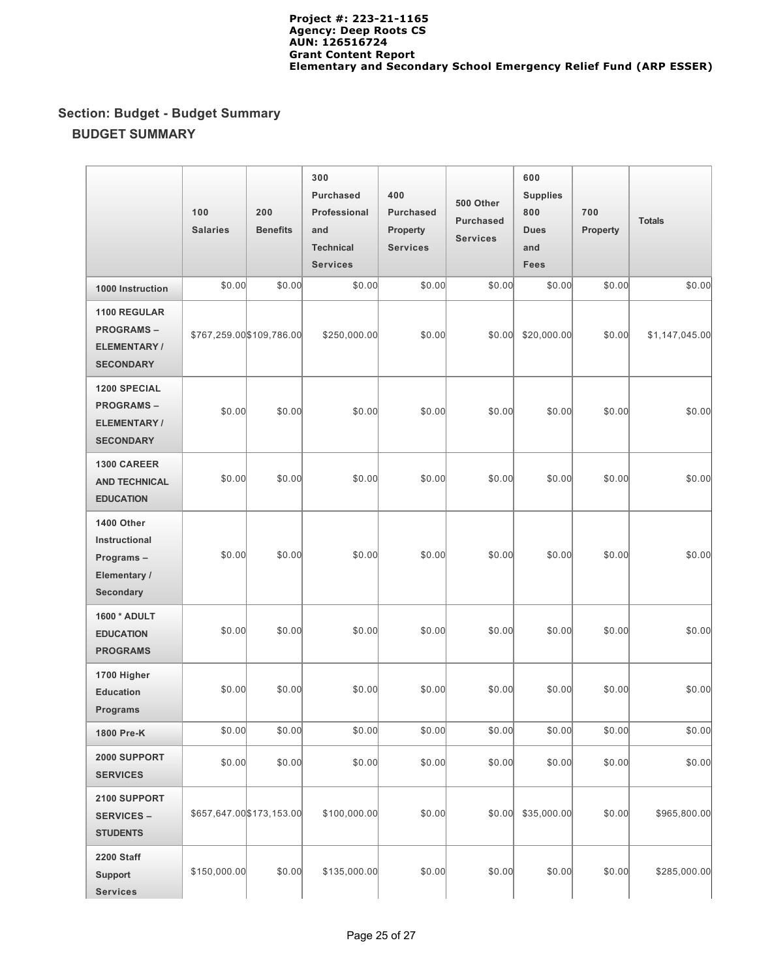# **Section: Budget - Budget Summary BUDGET SUMMARY**

|                                                                                   | 100<br><b>Salaries</b> | 200<br><b>Benefits</b>    | 300<br><b>Purchased</b><br>Professional<br>and<br><b>Technical</b><br><b>Services</b> | 400<br><b>Purchased</b><br>Property<br><b>Services</b> | 500 Other<br><b>Purchased</b><br><b>Services</b> | 600<br><b>Supplies</b><br>800<br><b>Dues</b><br>and<br><b>Fees</b> | 700<br><b>Property</b> | <b>Totals</b>  |
|-----------------------------------------------------------------------------------|------------------------|---------------------------|---------------------------------------------------------------------------------------|--------------------------------------------------------|--------------------------------------------------|--------------------------------------------------------------------|------------------------|----------------|
| 1000 Instruction                                                                  | \$0.00                 | \$0.00                    | \$0.00                                                                                | \$0.00                                                 | \$0.00                                           | \$0.00                                                             | \$0.00                 | \$0.00         |
| 1100 REGULAR<br><b>PROGRAMS-</b><br><b>ELEMENTARY/</b><br><b>SECONDARY</b>        |                        | \$767,259.00 \$109,786.00 | \$250,000.00                                                                          | \$0.00                                                 | \$0.00                                           | \$20,000.00                                                        | \$0.00                 | \$1,147,045.00 |
| <b>1200 SPECIAL</b><br><b>PROGRAMS-</b><br><b>ELEMENTARY/</b><br><b>SECONDARY</b> | \$0.00                 | \$0.00                    | \$0.00                                                                                | \$0.00                                                 | \$0.00                                           | \$0.00                                                             | \$0.00                 | \$0.00         |
| <b>1300 CAREER</b><br><b>AND TECHNICAL</b><br><b>EDUCATION</b>                    | \$0.00                 | \$0.00                    | \$0.00                                                                                | \$0.00                                                 | \$0.00                                           | \$0.00                                                             | \$0.00                 | \$0.00         |
| 1400 Other<br>Instructional<br>Programs-<br>Elementary /<br>Secondary             | \$0.00                 | \$0.00                    | \$0.00                                                                                | \$0.00                                                 | \$0.00                                           | \$0.00                                                             | \$0.00                 | \$0.00         |
| 1600 * ADULT<br><b>EDUCATION</b><br><b>PROGRAMS</b>                               | \$0.00                 | \$0.00                    | \$0.00                                                                                | \$0.00                                                 | \$0.00                                           | \$0.00                                                             | \$0.00                 | \$0.00         |
| 1700 Higher<br><b>Education</b><br><b>Programs</b>                                | \$0.00                 | \$0.00                    | \$0.00                                                                                | \$0.00                                                 | \$0.00                                           | \$0.00                                                             | \$0.00                 | \$0.00         |
| 1800 Pre-K                                                                        | \$0.00                 | \$0.00                    | \$0.00                                                                                | \$0.00                                                 | \$0.00                                           | \$0.00                                                             | \$0.00                 | \$0.00         |
| 2000 SUPPORT<br><b>SERVICES</b>                                                   | \$0.00                 | \$0.00                    | \$0.00                                                                                | \$0.00                                                 | \$0.00                                           | \$0.00                                                             | \$0.00                 | \$0.00         |
| 2100 SUPPORT<br><b>SERVICES -</b><br><b>STUDENTS</b>                              |                        | \$657,647.00 \$173,153.00 | \$100,000.00                                                                          | \$0.00                                                 | \$0.00                                           | \$35,000.00                                                        | \$0.00                 | \$965,800.00   |
| <b>2200 Staff</b><br><b>Support</b><br><b>Services</b>                            | \$150,000.00           | \$0.00                    | \$135,000.00                                                                          | \$0.00                                                 | \$0.00                                           | \$0.00                                                             | \$0.00                 | \$285,000.00   |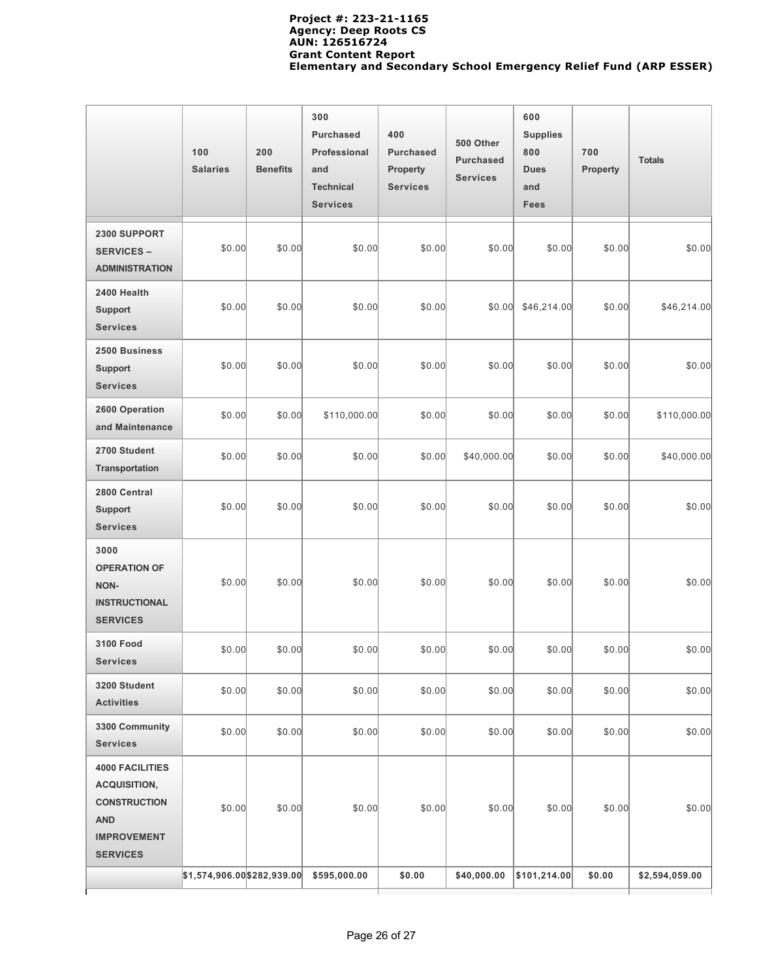|                                                                                                                             | 100<br><b>Salaries</b>      | 200<br><b>Benefits</b> | 300<br><b>Purchased</b><br>Professional<br>and<br><b>Technical</b><br><b>Services</b> | 400<br><b>Purchased</b><br><b>Property</b><br><b>Services</b> | 500 Other<br><b>Purchased</b><br><b>Services</b> | 600<br><b>Supplies</b><br>800<br><b>Dues</b><br>and<br><b>Fees</b> | 700<br><b>Property</b> | <b>Totals</b>  |
|-----------------------------------------------------------------------------------------------------------------------------|-----------------------------|------------------------|---------------------------------------------------------------------------------------|---------------------------------------------------------------|--------------------------------------------------|--------------------------------------------------------------------|------------------------|----------------|
| 2300 SUPPORT<br><b>SERVICES -</b><br><b>ADMINISTRATION</b>                                                                  | \$0.00                      | \$0.00                 | \$0.00                                                                                | \$0.00                                                        | \$0.00                                           | \$0.00                                                             | \$0.00                 | \$0.00         |
| 2400 Health<br><b>Support</b><br><b>Services</b>                                                                            | \$0.00                      | \$0.00                 | \$0.00                                                                                | \$0.00                                                        | \$0.00]                                          | \$46,214.00                                                        | \$0.00                 | \$46,214.00    |
| 2500 Business<br>Support<br><b>Services</b>                                                                                 | \$0.00                      | \$0.00                 | \$0.00                                                                                | \$0.00                                                        | \$0.00                                           | \$0.00                                                             | \$0.00                 | \$0.00         |
| 2600 Operation<br>and Maintenance                                                                                           | \$0.00                      | \$0.00                 | \$110,000.00                                                                          | \$0.00                                                        | \$0.00                                           | \$0.00                                                             | \$0.00                 | \$110,000.00   |
| 2700 Student<br>Transportation                                                                                              | \$0.00                      | \$0.00                 | \$0.00                                                                                | \$0.00                                                        | \$40,000.00                                      | \$0.00                                                             | \$0.00                 | \$40,000.00    |
| 2800 Central<br><b>Support</b><br><b>Services</b>                                                                           | \$0.00                      | \$0.00                 | \$0.00                                                                                | \$0.00                                                        | \$0.00                                           | \$0.00                                                             | \$0.00                 | \$0.00         |
| 3000<br><b>OPERATION OF</b><br><b>NON-</b><br><b>INSTRUCTIONAL</b><br><b>SERVICES</b>                                       | \$0.00                      | \$0.00                 | \$0.00                                                                                | \$0.00                                                        | \$0.00                                           | \$0.00                                                             | \$0.00                 | \$0.00         |
| <b>3100 Food</b><br><b>Services</b>                                                                                         | \$0.00                      | \$0.00                 | \$0.00                                                                                | \$0.00                                                        | \$0.00                                           | \$0.00                                                             | \$0.00                 | \$0.00         |
| 3200 Student<br><b>Activities</b>                                                                                           | \$0.00                      | \$0.00                 | \$0.00                                                                                | \$0.00                                                        | \$0.00                                           | \$0.00                                                             | \$0.00                 | \$0.00         |
| 3300 Community<br><b>Services</b>                                                                                           | \$0.00                      | \$0.00                 | \$0.00                                                                                | \$0.00                                                        | \$0.00                                           | \$0.00                                                             | \$0.00                 | \$0.00         |
| <b>4000 FACILITIES</b><br><b>ACQUISITION,</b><br><b>CONSTRUCTION</b><br><b>AND</b><br><b>IMPROVEMENT</b><br><b>SERVICES</b> | \$0.00                      | \$0.00                 | \$0.00                                                                                | \$0.00                                                        | \$0.00                                           | \$0.00                                                             | \$0.00                 | \$0.00         |
|                                                                                                                             | \$1,574,906.00 \$282,939.00 |                        | \$595,000.00                                                                          | \$0.00                                                        | \$40,000.00                                      | \$101,214.00                                                       | \$0.00                 | \$2,594,059.00 |